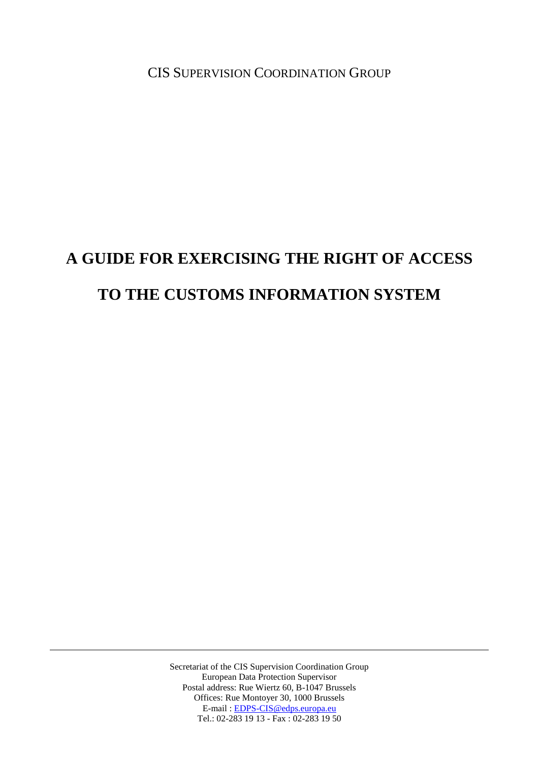CIS SUPERVISION COORDINATION GROUP

# **A GUIDE FOR EXERCISING THE RIGHT OF ACCESS TO THE CUSTOMS INFORMATION SYSTEM**

Secretariat of the CIS Supervision Coordination Group European Data Protection Supervisor Postal address: Rue Wiertz 60, B-1047 Brussels Offices: Rue Montoyer 30, 1000 Brussels E-mail : [EDPS-CIS@edps.europa.eu](mailto:EDPS-CIS@edps.europa.eu) Tel.: 02-283 19 13 - Fax : 02-283 19 50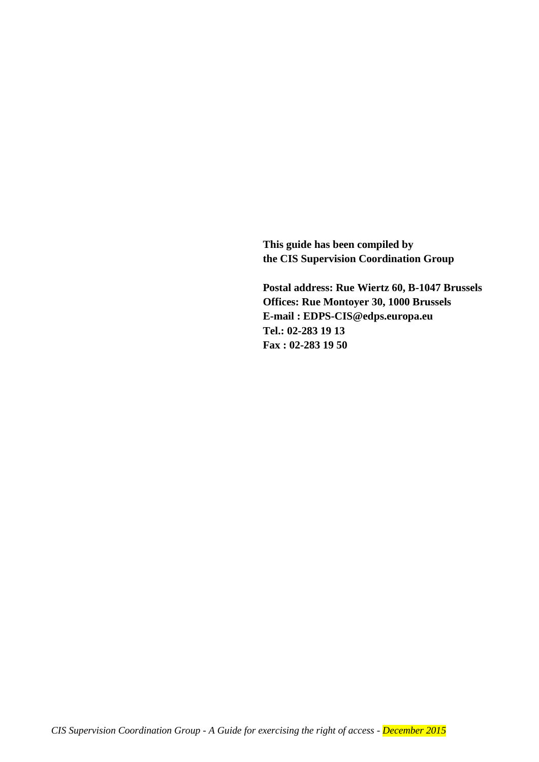**This guide has been compiled by the CIS Supervision Coordination Group**

**Postal address: Rue Wiertz 60, B-1047 Brussels Offices: Rue Montoyer 30, 1000 Brussels E-mail : EDPS-CIS@edps.europa.eu Tel.: 02-283 19 13 Fax : 02-283 19 50**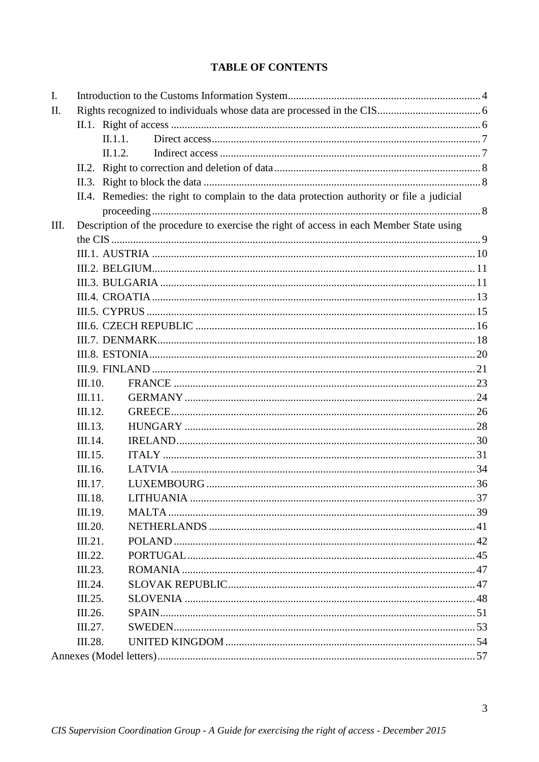# **TABLE OF CONTENTS**

| I.  |         |                                                                                         |                                                                                           |  |  |  |
|-----|---------|-----------------------------------------------------------------------------------------|-------------------------------------------------------------------------------------------|--|--|--|
| II. |         |                                                                                         |                                                                                           |  |  |  |
|     |         |                                                                                         |                                                                                           |  |  |  |
|     |         | II.1.1.                                                                                 |                                                                                           |  |  |  |
|     |         | II.1.2.                                                                                 |                                                                                           |  |  |  |
|     |         |                                                                                         |                                                                                           |  |  |  |
|     |         |                                                                                         |                                                                                           |  |  |  |
|     |         |                                                                                         | II.4. Remedies: the right to complain to the data protection authority or file a judicial |  |  |  |
|     |         |                                                                                         |                                                                                           |  |  |  |
| Ш.  |         | Description of the procedure to exercise the right of access in each Member State using |                                                                                           |  |  |  |
|     |         |                                                                                         |                                                                                           |  |  |  |
|     |         |                                                                                         |                                                                                           |  |  |  |
|     |         |                                                                                         |                                                                                           |  |  |  |
|     |         |                                                                                         |                                                                                           |  |  |  |
|     |         |                                                                                         |                                                                                           |  |  |  |
|     |         |                                                                                         |                                                                                           |  |  |  |
|     |         |                                                                                         |                                                                                           |  |  |  |
|     |         |                                                                                         |                                                                                           |  |  |  |
|     |         |                                                                                         |                                                                                           |  |  |  |
|     |         |                                                                                         |                                                                                           |  |  |  |
|     | III.10. |                                                                                         |                                                                                           |  |  |  |
|     | III.11. |                                                                                         |                                                                                           |  |  |  |
|     | III.12. |                                                                                         |                                                                                           |  |  |  |
|     | III.13. |                                                                                         |                                                                                           |  |  |  |
|     | III.14. |                                                                                         |                                                                                           |  |  |  |
|     | III.15. |                                                                                         |                                                                                           |  |  |  |
|     | III.16. |                                                                                         |                                                                                           |  |  |  |
|     | III.17. |                                                                                         |                                                                                           |  |  |  |
|     | III.18. |                                                                                         |                                                                                           |  |  |  |
|     | III.19. |                                                                                         |                                                                                           |  |  |  |
|     | III.20. |                                                                                         |                                                                                           |  |  |  |
|     | III.21. |                                                                                         |                                                                                           |  |  |  |
|     | III.22. |                                                                                         |                                                                                           |  |  |  |
|     | III.23. |                                                                                         |                                                                                           |  |  |  |
|     | III.24. |                                                                                         |                                                                                           |  |  |  |
|     | III.25. |                                                                                         |                                                                                           |  |  |  |
|     | III.26. |                                                                                         |                                                                                           |  |  |  |
|     | III.27. |                                                                                         |                                                                                           |  |  |  |
|     | III.28. |                                                                                         |                                                                                           |  |  |  |
|     |         |                                                                                         |                                                                                           |  |  |  |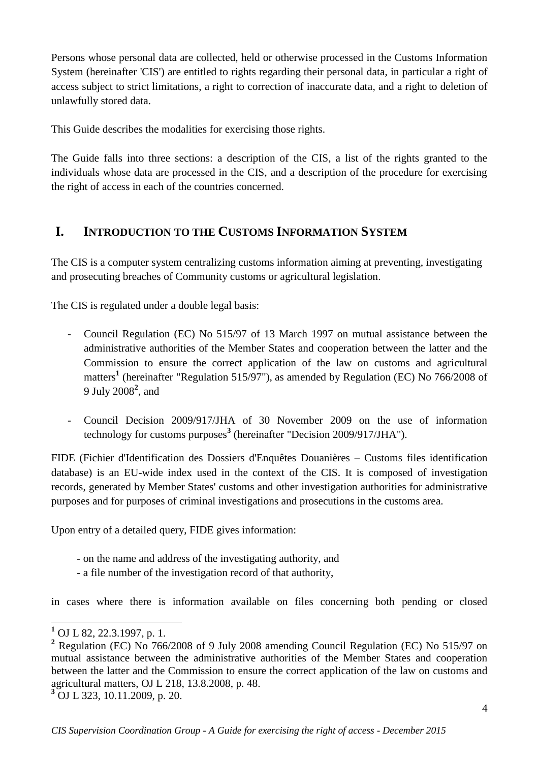Persons whose personal data are collected, held or otherwise processed in the Customs Information System (hereinafter 'CIS') are entitled to rights regarding their personal data, in particular a right of access subject to strict limitations, a right to correction of inaccurate data, and a right to deletion of unlawfully stored data.

This Guide describes the modalities for exercising those rights.

The Guide falls into three sections: a description of the CIS, a list of the rights granted to the individuals whose data are processed in the CIS, and a description of the procedure for exercising the right of access in each of the countries concerned.

# <span id="page-3-0"></span>**I. INTRODUCTION TO THE CUSTOMS INFORMATION SYSTEM**

The CIS is a computer system centralizing customs information aiming at preventing, investigating and prosecuting breaches of Community customs or agricultural legislation.

The CIS is regulated under a double legal basis:

- Council Regulation (EC) No 515/97 of 13 March 1997 on mutual assistance between the administrative authorities of the Member States and cooperation between the latter and the Commission to ensure the correct application of the law on customs and agricultural matters**<sup>1</sup>** (hereinafter "Regulation 515/97"), as amended by Regulation (EC) No 766/2008 of 9 July 2008**<sup>2</sup>** , and
- Council Decision 2009/917/JHA of 30 November 2009 on the use of information technology for customs purposes**<sup>3</sup>** (hereinafter "Decision 2009/917/JHA").

FIDE (Fichier d'Identification des Dossiers d'Enquêtes Douanières – Customs files identification database) is an EU-wide index used in the context of the CIS. It is composed of investigation records, generated by Member States' customs and other investigation authorities for administrative purposes and for purposes of criminal investigations and prosecutions in the customs area.

Upon entry of a detailed query, FIDE gives information:

- on the name and address of the investigating authority, and
- a file number of the investigation record of that authority,

in cases where there is information available on files concerning both pending or closed

<u>.</u>

**<sup>1</sup>** OJ L 82, 22.3.1997, p. 1.

**<sup>2</sup>** Regulation (EC) No 766/2008 of 9 July 2008 amending Council Regulation (EC) No 515/97 on mutual assistance between the administrative authorities of the Member States and cooperation between the latter and the Commission to ensure the correct application of the law on customs and agricultural matters, OJ L 218, 13.8.2008, p. 48.

**<sup>3</sup>** OJ L 323, 10.11.2009, p. 20.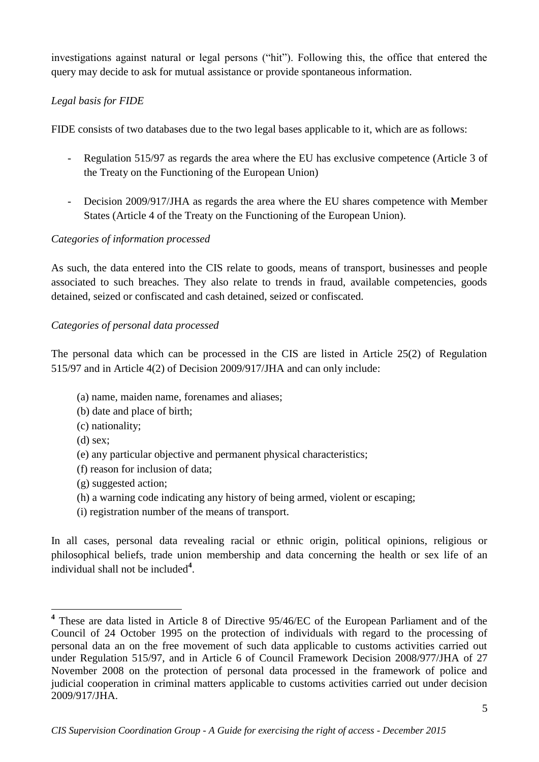investigations against natural or legal persons ("hit"). Following this, the office that entered the query may decide to ask for mutual assistance or provide spontaneous information.

### *Legal basis for FIDE*

FIDE consists of two databases due to the two legal bases applicable to it, which are as follows:

- Regulation 515/97 as regards the area where the EU has exclusive competence (Article 3 of the Treaty on the Functioning of the European Union)
- Decision 2009/917/JHA as regards the area where the EU shares competence with Member States (Article 4 of the Treaty on the Functioning of the European Union).

### *Categories of information processed*

As such, the data entered into the CIS relate to goods, means of transport, businesses and people associated to such breaches. They also relate to trends in fraud, available competencies, goods detained, seized or confiscated and cash detained, seized or confiscated.

### *Categories of personal data processed*

The personal data which can be processed in the CIS are listed in Article 25(2) of Regulation 515/97 and in Article 4(2) of Decision 2009/917/JHA and can only include:

- (a) name, maiden name, forenames and aliases;
- (b) date and place of birth;
- (c) nationality;
- (d) sex;

<u>.</u>

- (e) any particular objective and permanent physical characteristics;
- (f) reason for inclusion of data;
- (g) suggested action;
- (h) a warning code indicating any history of being armed, violent or escaping;
- (i) registration number of the means of transport.

In all cases, personal data revealing racial or ethnic origin, political opinions, religious or philosophical beliefs, trade union membership and data concerning the health or sex life of an individual shall not be included**<sup>4</sup>** .

**<sup>4</sup>** These are data listed in Article 8 of Directive 95/46/EC of the European Parliament and of the Council of 24 October 1995 on the protection of individuals with regard to the processing of personal data an on the free movement of such data applicable to customs activities carried out under Regulation 515/97, and in Article 6 of Council Framework Decision 2008/977/JHA of 27 November 2008 on the protection of personal data processed in the framework of police and judicial cooperation in criminal matters applicable to customs activities carried out under decision 2009/917/JHA.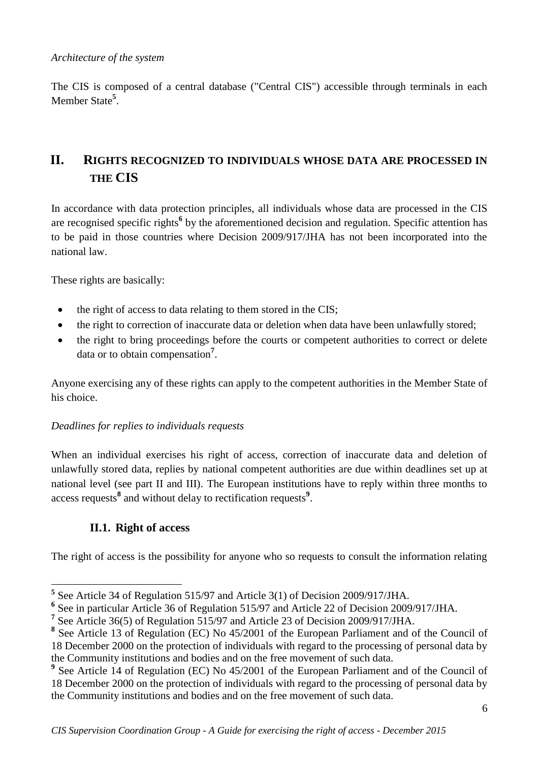#### *Architecture of the system*

The CIS is composed of a central database ("Central CIS") accessible through terminals in each Member State**<sup>5</sup>** .

# <span id="page-5-0"></span>**II. RIGHTS RECOGNIZED TO INDIVIDUALS WHOSE DATA ARE PROCESSED IN THE CIS**

In accordance with data protection principles, all individuals whose data are processed in the CIS are recognised specific rights**<sup>6</sup>** by the aforementioned decision and regulation. Specific attention has to be paid in those countries where Decision 2009/917/JHA has not been incorporated into the national law.

These rights are basically:

- the right of access to data relating to them stored in the CIS;
- the right to correction of inaccurate data or deletion when data have been unlawfully stored;
- the right to bring proceedings before the courts or competent authorities to correct or delete data or to obtain compensation**<sup>7</sup>** .

Anyone exercising any of these rights can apply to the competent authorities in the Member State of his choice.

# *Deadlines for replies to individuals requests*

When an individual exercises his right of access, correction of inaccurate data and deletion of unlawfully stored data, replies by national competent authorities are due within deadlines set up at national level (see part II and III). The European institutions have to reply within three months to access requests**<sup>8</sup>** and without delay to rectification requests**<sup>9</sup>** .

# **II.1. Right of access**

<span id="page-5-1"></span>The right of access is the possibility for anyone who so requests to consult the information relating

 **5** See Article 34 of Regulation 515/97 and Article 3(1) of Decision 2009/917/JHA.

**<sup>6</sup>** See in particular Article 36 of Regulation 515/97 and Article 22 of Decision 2009/917/JHA.

<sup>&</sup>lt;sup>7</sup> See Article 36(5) of Regulation 515/97 and Article 23 of Decision 2009/917/JHA.

<sup>&</sup>lt;sup>8</sup> See Article 13 of Regulation (EC) No 45/2001 of the European Parliament and of the Council of 18 December 2000 on the protection of individuals with regard to the processing of personal data by the Community institutions and bodies and on the free movement of such data.

<sup>&</sup>lt;sup>9</sup> See Article 14 of Regulation (EC) No 45/2001 of the European Parliament and of the Council of 18 December 2000 on the protection of individuals with regard to the processing of personal data by the Community institutions and bodies and on the free movement of such data.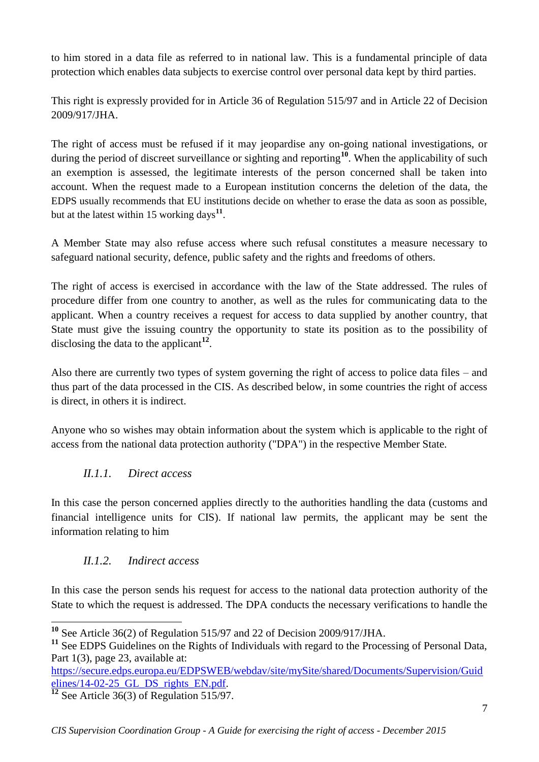to him stored in a data file as referred to in national law. This is a fundamental principle of data protection which enables data subjects to exercise control over personal data kept by third parties.

This right is expressly provided for in Article 36 of Regulation 515/97 and in Article 22 of Decision 2009/917/JHA.

The right of access must be refused if it may jeopardise any on-going national investigations, or during the period of discreet surveillance or sighting and reporting**<sup>10</sup>**. When the applicability of such an exemption is assessed, the legitimate interests of the person concerned shall be taken into account. When the request made to a European institution concerns the deletion of the data, the EDPS usually recommends that EU institutions decide on whether to erase the data as soon as possible, but at the latest within 15 working days**<sup>11</sup>** .

A Member State may also refuse access where such refusal constitutes a measure necessary to safeguard national security, defence, public safety and the rights and freedoms of others.

The right of access is exercised in accordance with the law of the State addressed. The rules of procedure differ from one country to another, as well as the rules for communicating data to the applicant. When a country receives a request for access to data supplied by another country, that State must give the issuing country the opportunity to state its position as to the possibility of disclosing the data to the applicant**<sup>12</sup>** .

Also there are currently two types of system governing the right of access to police data files – and thus part of the data processed in the CIS. As described below, in some countries the right of access is direct, in others it is indirect.

Anyone who so wishes may obtain information about the system which is applicable to the right of access from the national data protection authority ("DPA") in the respective Member State.

# *II.1.1. Direct access*

<span id="page-6-0"></span>In this case the person concerned applies directly to the authorities handling the data (customs and financial intelligence units for CIS). If national law permits, the applicant may be sent the information relating to him

# *II.1.2. Indirect access*

<u>.</u>

<span id="page-6-1"></span>In this case the person sends his request for access to the national data protection authority of the State to which the request is addressed. The DPA conducts the necessary verifications to handle the

**<sup>10</sup>** See Article 36(2) of Regulation 515/97 and 22 of Decision 2009/917/JHA.

<sup>&</sup>lt;sup>11</sup> See EDPS Guidelines on the Rights of Individuals with regard to the Processing of Personal Data, Part 1(3), page 23, available at:

[https://secure.edps.europa.eu/EDPSWEB/webdav/site/mySite/shared/Documents/Supervision/Guid](https://secure.edps.europa.eu/EDPSWEB/webdav/site/mySite/shared/Documents/Supervision/Guidelines/14-02-25_GL_DS_rights_EN.pdf) elines/14-02-25 GL DS rights EN.pdf.

See Article 36(3) of Regulation 515/97.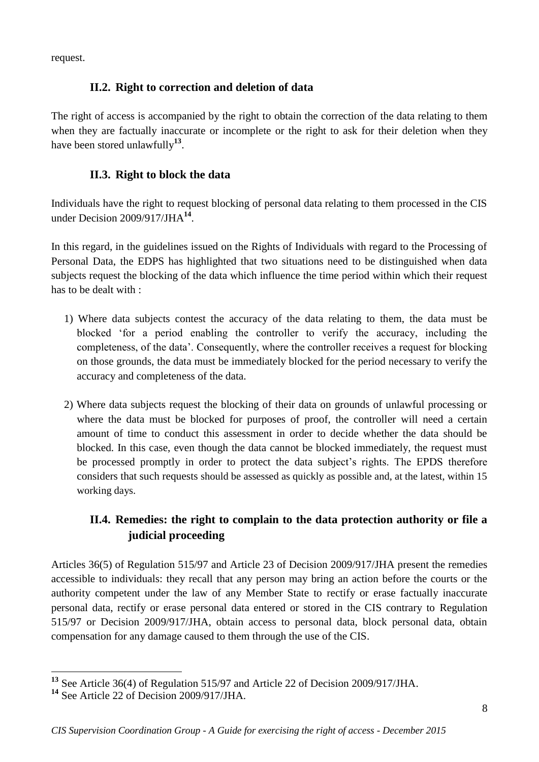<span id="page-7-0"></span>request.

# **II.2. Right to correction and deletion of data**

The right of access is accompanied by the right to obtain the correction of the data relating to them when they are factually inaccurate or incomplete or the right to ask for their deletion when they have been stored unlawfully**<sup>13</sup>** .

# **II.3. Right to block the data**

<span id="page-7-1"></span>Individuals have the right to request blocking of personal data relating to them processed in the CIS under Decision 2009/917/JHA**<sup>14</sup>** .

In this regard, in the guidelines issued on the Rights of Individuals with regard to the Processing of Personal Data, the EDPS has highlighted that two situations need to be distinguished when data subjects request the blocking of the data which influence the time period within which their request has to be dealt with :

- 1) Where data subjects contest the accuracy of the data relating to them, the data must be blocked 'for a period enabling the controller to verify the accuracy, including the completeness, of the data'. Consequently, where the controller receives a request for blocking on those grounds, the data must be immediately blocked for the period necessary to verify the accuracy and completeness of the data.
- 2) Where data subjects request the blocking of their data on grounds of unlawful processing or where the data must be blocked for purposes of proof, the controller will need a certain amount of time to conduct this assessment in order to decide whether the data should be blocked. In this case, even though the data cannot be blocked immediately, the request must be processed promptly in order to protect the data subject's rights. The EPDS therefore considers that such requests should be assessed as quickly as possible and, at the latest, within 15 working days.

# <span id="page-7-2"></span>**II.4. Remedies: the right to complain to the data protection authority or file a judicial proceeding**

Articles 36(5) of Regulation 515/97 and Article 23 of Decision 2009/917/JHA present the remedies accessible to individuals: they recall that any person may bring an action before the courts or the authority competent under the law of any Member State to rectify or erase factually inaccurate personal data, rectify or erase personal data entered or stored in the CIS contrary to Regulation 515/97 or Decision 2009/917/JHA, obtain access to personal data, block personal data, obtain compensation for any damage caused to them through the use of the CIS.

<sup>&</sup>lt;u>.</u> **<sup>13</sup>** See Article 36(4) of Regulation 515/97 and Article 22 of Decision 2009/917/JHA.

**<sup>14</sup>** See Article 22 of Decision 2009/917/JHA.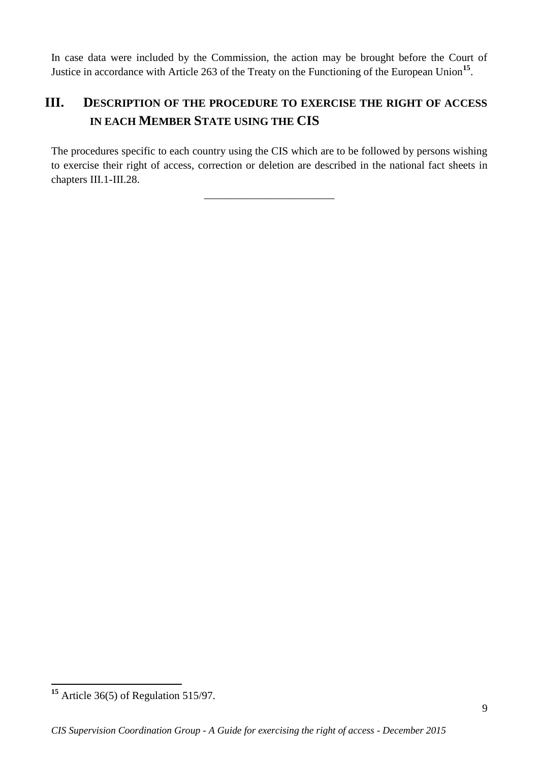In case data were included by the Commission, the action may be brought before the Court of Justice in accordance with Article 263 of the Treaty on the Functioning of the European Union<sup>15</sup>.

# <span id="page-8-0"></span>**III. DESCRIPTION OF THE PROCEDURE TO EXERCISE THE RIGHT OF ACCESS IN EACH MEMBER STATE USING THE CIS**

The procedures specific to each country using the CIS which are to be followed by persons wishing to exercise their right of access, correction or deletion are described in the national fact sheets in chapters III.1-III.28.

\_\_\_\_\_\_\_\_\_\_\_\_\_\_\_\_\_\_\_\_\_\_\_\_

1

**<sup>15</sup>** Article 36(5) of Regulation 515/97.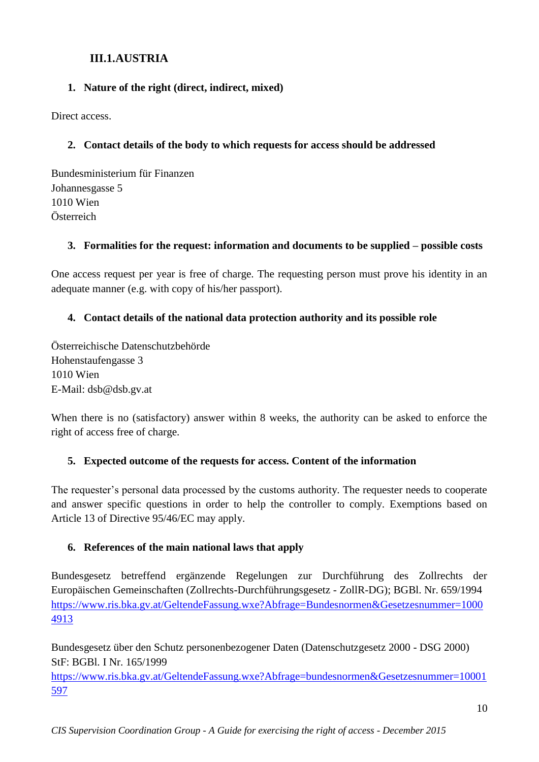# **III.1.AUSTRIA**

# <span id="page-9-0"></span>**1. Nature of the right (direct, indirect, mixed)**

Direct access.

# **2. Contact details of the body to which requests for access should be addressed**

Bundesministerium für Finanzen Johannesgasse 5 1010 Wien Österreich

# **3. Formalities for the request: information and documents to be supplied – possible costs**

One access request per year is free of charge. The requesting person must prove his identity in an adequate manner (e.g. with copy of his/her passport).

# **4. Contact details of the national data protection authority and its possible role**

Österreichische Datenschutzbehörde Hohenstaufengasse 3 1010 Wien E-Mail: dsb@dsb.gv.at

When there is no (satisfactory) answer within 8 weeks, the authority can be asked to enforce the right of access free of charge.

# **5. Expected outcome of the requests for access. Content of the information**

The requester's personal data processed by the customs authority. The requester needs to cooperate and answer specific questions in order to help the controller to comply. Exemptions based on Article 13 of Directive 95/46/EC may apply.

# **6. References of the main national laws that apply**

Bundesgesetz betreffend ergänzende Regelungen zur Durchführung des Zollrechts der Europäischen Gemeinschaften (Zollrechts-Durchführungsgesetz - ZollR-DG); BGBl. Nr. 659/1994 [https://www.ris.bka.gv.at/GeltendeFassung.wxe?Abfrage=Bundesnormen&Gesetzesnummer=1000](https://www.ris.bka.gv.at/GeltendeFassung.wxe?Abfrage=Bundesnormen&Gesetzesnummer=10004913) [4913](https://www.ris.bka.gv.at/GeltendeFassung.wxe?Abfrage=Bundesnormen&Gesetzesnummer=10004913)

Bundesgesetz über den Schutz personenbezogener Daten (Datenschutzgesetz 2000 - DSG 2000) StF: BGBl. I Nr. 165/1999

[https://www.ris.bka.gv.at/GeltendeFassung.wxe?Abfrage=bundesnormen&Gesetzesnummer=10001](https://www.ris.bka.gv.at/GeltendeFassung.wxe?Abfrage=bundesnormen&Gesetzesnummer=10001597) [597](https://www.ris.bka.gv.at/GeltendeFassung.wxe?Abfrage=bundesnormen&Gesetzesnummer=10001597)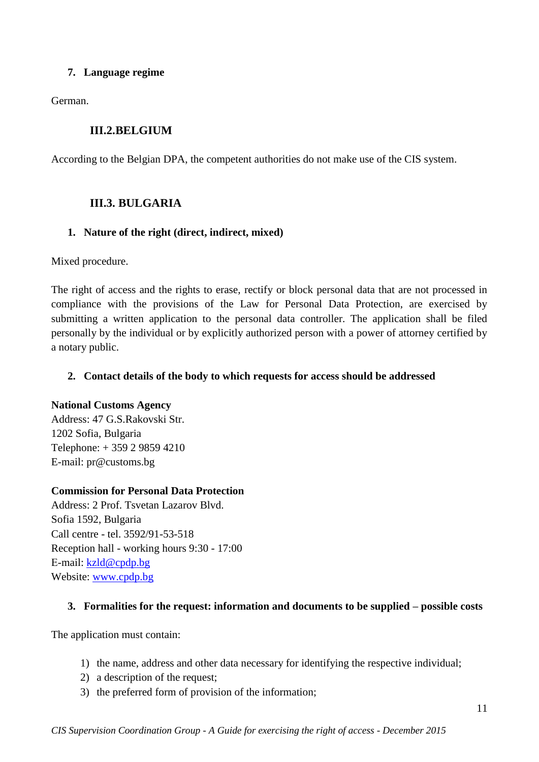### **7. Language regime**

German.

# **III.2.BELGIUM**

<span id="page-10-0"></span>According to the Belgian DPA, the competent authorities do not make use of the CIS system.

# <span id="page-10-1"></span>**III.3. BULGARIA**

#### **1. Nature of the right (direct, indirect, mixed)**

Mixed procedure.

The right of access and the rights to erase, rectify or block personal data that are not processed in compliance with the provisions of the Law for Personal Data Protection, are exercised by submitting a written application to the personal data controller. The application shall be filed personally by the individual or by explicitly authorized person with a power of attorney certified by a notary public.

#### **2. Contact details of the body to which requests for access should be addressed**

#### **National Customs Agency**

Address: 47 G.S.Rakovski Str. 1202 Sofia, Bulgaria Telephone: + 359 2 9859 4210 E-mail: pr@customs.bg

#### **Commission for Personal Data Protection**

Address: 2 Prof. Tsvetan Lazarov Blvd. Sofia 1592, Bulgaria Call centre - tel. 3592/91-53-518 Reception hall - working hours 9:30 - 17:00 Е-mail: [kzld@cpdp.bg](mailto:kzld@cpdp.bg) Website: [www.cpdp.bg](http://www.cpdp.bg/)

#### **3. Formalities for the request: information and documents to be supplied – possible costs**

The application must contain:

- 1) the name, address and other data necessary for identifying the respective individual;
- 2) a description of the request;
- 3) the preferred form of provision of the information;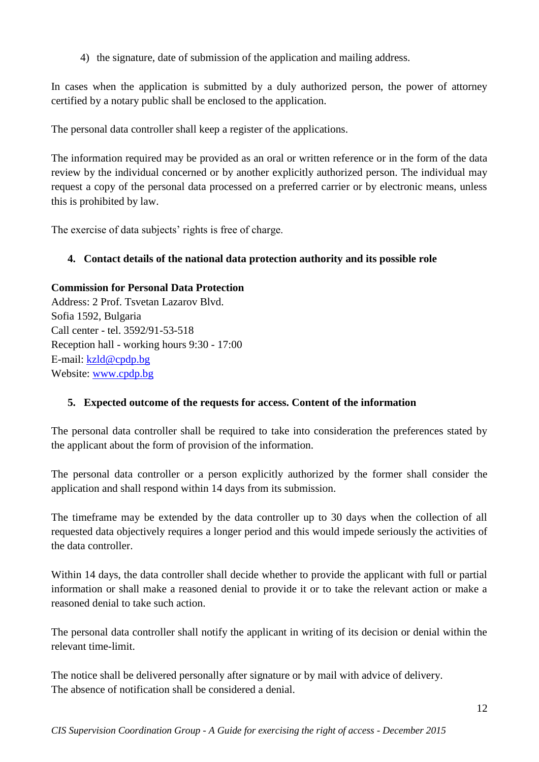4) the signature, date of submission of the application and mailing address.

In cases when the application is submitted by a duly authorized person, the power of attorney certified by a notary public shall be enclosed to the application.

The personal data controller shall keep a register of the applications.

The information required may be provided as an oral or written reference or in the form of the data review by the individual concerned or by another explicitly authorized person. The individual may request a copy of the personal data processed on a preferred carrier or by electronic means, unless this is prohibited by law.

The exercise of data subjects' rights is free of charge.

# **4. Contact details of the national data protection authority and its possible role**

# **Commission for Personal Data Protection**

Address: 2 Prof. Tsvetan Lazarov Blvd. Sofia 1592, Bulgaria Call center - tel. 3592/91-53-518 Reception hall - working hours 9:30 - 17:00 Е-mail: [kzld@cpdp.bg](mailto:kzld@cpdp.bg) Website: [www.cpdp.bg](http://www.cpdp.bg/)

# **5. Expected outcome of the requests for access. Content of the information**

The personal data controller shall be required to take into consideration the preferences stated by the applicant about the form of provision of the information.

The personal data controller or a person explicitly authorized by the former shall consider the application and shall respond within 14 days from its submission.

The timeframe may be extended by the data controller up to 30 days when the collection of all requested data objectively requires a longer period and this would impede seriously the activities of the data controller.

Within 14 days, the data controller shall decide whether to provide the applicant with full or partial information or shall make a reasoned denial to provide it or to take the relevant action or make a reasoned denial to take such action.

The personal data controller shall notify the applicant in writing of its decision or denial within the relevant time-limit.

The notice shall be delivered personally after signature or by mail with advice of delivery. The absence of notification shall be considered a denial.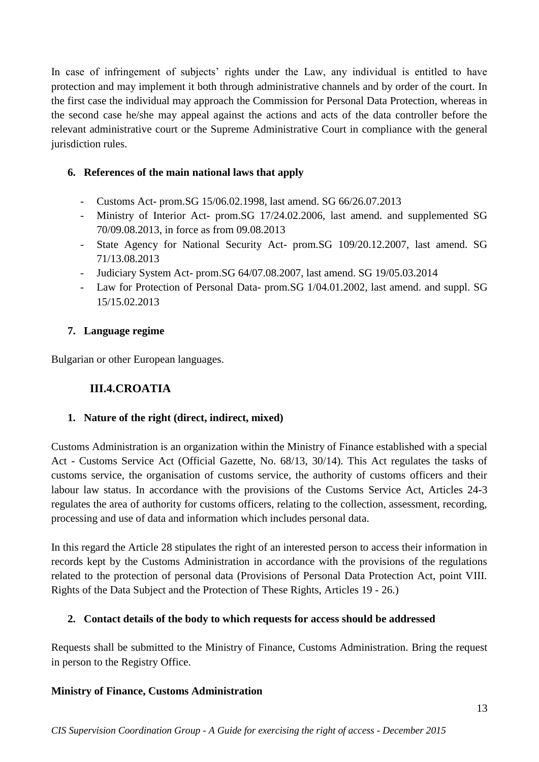In case of infringement of subjects' rights under the Law, any individual is entitled to have protection and may implement it both through administrative channels and by order of the court. In the first case the individual may approach the Commission for Personal Data Protection, whereas in the second case he/she may appeal against the actions and acts of the data controller before the relevant administrative court or the Supreme Administrative Court in compliance with the general jurisdiction rules.

# **6. References of the main national laws that apply**

- Customs Act- prom.SG 15/06.02.1998, last amend. SG 66/26.07.2013
- Ministry of Interior Act- prom.SG 17/24.02.2006, last amend. and supplemented SG 70/09.08.2013, in force as from 09.08.2013
- State Agency for National Security Act- prom.SG 109/20.12.2007, last amend. SG 71/13.08.2013
- Judiciary System Act- prom.SG 64/07.08.2007, last amend. SG 19/05.03.2014
- Law for Protection of Personal Data- prom.SG 1/04.01.2002, last amend. and suppl. SG 15/15.02.2013

# **7. Language regime**

<span id="page-12-0"></span>Bulgarian or other European languages.

# **III.4.CROATIA**

# **1. Nature of the right (direct, indirect, mixed)**

Customs Administration is an organization within the Ministry of Finance established with a special Act - Customs Service Act (Official Gazette, No. 68/13, 30/14). This Act regulates the tasks of customs service, the organisation of customs service, the authority of customs officers and their labour law status. In accordance with the provisions of the Customs Service Act, Articles 24-3 regulates the area of authority for customs officers, relating to the collection, assessment, recording, processing and use of data and information which includes personal data.

In this regard the Article 28 stipulates the right of an interested person to access their information in records kept by the Customs Administration in accordance with the provisions of the regulations related to the protection of personal data (Provisions of Personal Data Protection Act, point VIII. Rights of the Data Subject and the Protection of These Rights, Articles 19 - 26.)

# **2. Contact details of the body to which requests for access should be addressed**

Requests shall be submitted to the Ministry of Finance, Customs Administration. Bring the request in person to the Registry Office.

# **Ministry of Finance, Customs Administration**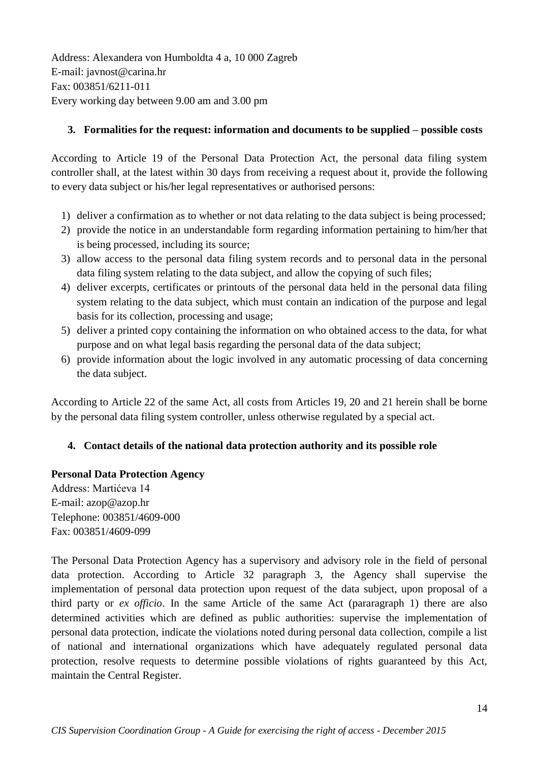Address: Alexandera von Humboldta 4 a, 10 000 Zagreb E-mail: javnost@carina.hr Fax: 003851/6211-011 Every working day between 9.00 am and 3.00 pm

### **3. Formalities for the request: information and documents to be supplied – possible costs**

According to Article 19 of the Personal Data Protection Act, the personal data filing system controller shall, at the latest within 30 days from receiving a request about it, provide the following to every data subject or his/her legal representatives or authorised persons:

- 1) deliver a confirmation as to whether or not data relating to the data subject is being processed;
- 2) provide the notice in an understandable form regarding information pertaining to him/her that is being processed, including its source;
- 3) allow access to the personal data filing system records and to personal data in the personal data filing system relating to the data subject, and allow the copying of such files;
- 4) deliver excerpts, certificates or printouts of the personal data held in the personal data filing system relating to the data subject, which must contain an indication of the purpose and legal basis for its collection, processing and usage;
- 5) deliver a printed copy containing the information on who obtained access to the data, for what purpose and on what legal basis regarding the personal data of the data subject;
- 6) provide information about the logic involved in any automatic processing of data concerning the data subject.

According to Article 22 of the same Act, all costs from Articles 19, 20 and 21 herein shall be borne by the personal data filing system controller, unless otherwise regulated by a special act.

# **4. Contact details of the national data protection authority and its possible role**

#### **Personal Data Protection Agency**

Address: Martićeva 14 E-mail: azop@azop.hr Telephone: 003851/4609-000 Fax: 003851/4609-099

The Personal Data Protection Agency has a supervisory and advisory role in the field of personal data protection. According to Article 32 paragraph 3, the Agency shall supervise the implementation of personal data protection upon request of the data subject, upon proposal of a third party or *ex officio*. In the same Article of the same Act (pararagraph 1) there are also determined activities which are defined as public authorities: supervise the implementation of personal data protection, indicate the violations noted during personal data collection, compile a list of national and international organizations which have adequately regulated personal data protection, resolve requests to determine possible violations of rights guaranteed by this Act, maintain the Central Register.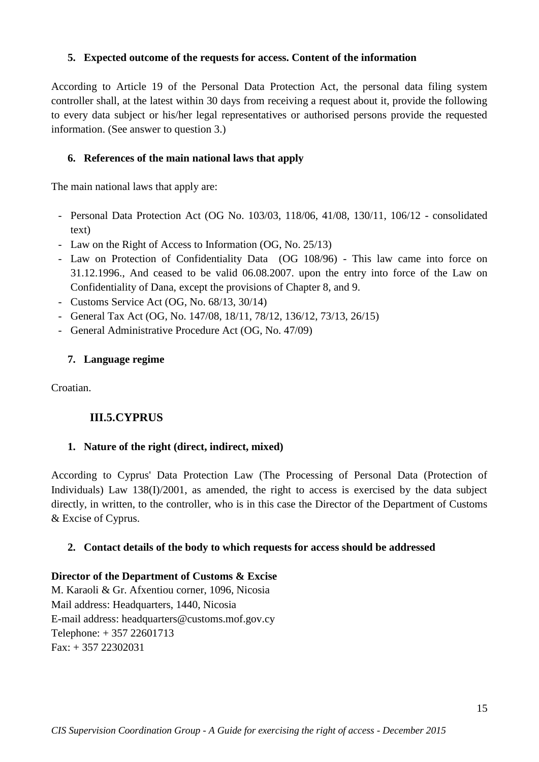#### **5. Expected outcome of the requests for access. Content of the information**

According to Article 19 of the Personal Data Protection Act, the personal data filing system controller shall, at the latest within 30 days from receiving a request about it, provide the following to every data subject or his/her legal representatives or authorised persons provide the requested information. (See answer to question 3.)

#### **6. References of the main national laws that apply**

The main national laws that apply are:

- Personal Data Protection Act (OG No. 103/03, 118/06, 41/08, 130/11, 106/12 consolidated text)
- Law on the Right of Access to Information (OG, No. 25/13)
- Law on Protection of Confidentiality Data (OG 108/96) This law came into force on 31.12.1996., And ceased to be valid 06.08.2007. upon the entry into force of the Law on Confidentiality of Dana, except the provisions of Chapter 8, and 9.
- Customs Service Act (OG, No. 68/13, 30/14)
- General Tax Act (OG, No. 147/08, 18/11, 78/12, 136/12, 73/13, 26/15)
- General Administrative Procedure Act (OG, No. 47/09)

#### **7. Language regime**

<span id="page-14-0"></span>Croatian.

# **III.5.CYPRUS**

#### **1. Nature of the right (direct, indirect, mixed)**

According to Cyprus' Data Protection Law (The Processing of Personal Data (Protection of Individuals) Law 138(I)/2001, as amended, the right to access is exercised by the data subject directly, in written, to the controller, who is in this case the Director of the Department of Customs & Excise of Cyprus.

#### **2. Contact details of the body to which requests for access should be addressed**

#### **Director of the Department of Customs & Excise**

M. Karaoli & Gr. Afxentiou corner, 1096, Nicosia Mail address: Headquarters, 1440, Nicosia E-mail address: headquarters@customs.mof.gov.cy Telephone: + 357 22601713 Fax: + 357 22302031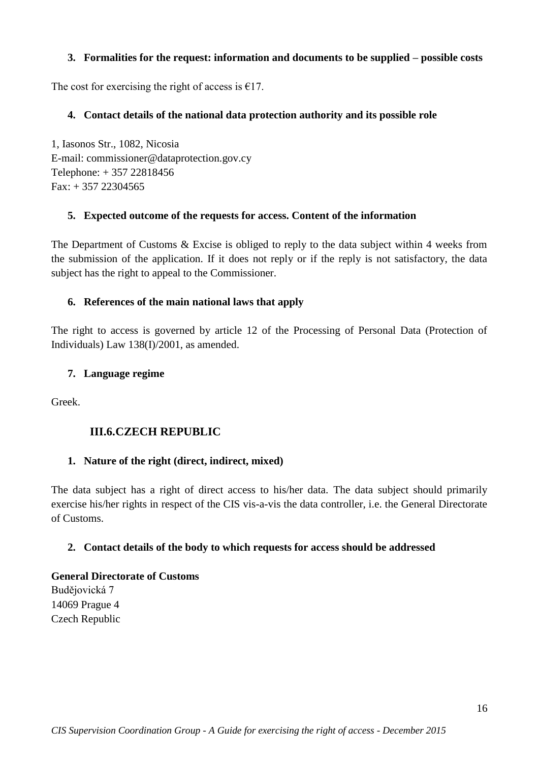### **3. Formalities for the request: information and documents to be supplied – possible costs**

The cost for exercising the right of access is  $E$ 17.

### **4. Contact details of the national data protection authority and its possible role**

1, Iasonos Str., 1082, Nicosia E-mail: commissioner@dataprotection.gov.cy Telephone: + 357 22818456 Fax: + 357 22304565

### **5. Expected outcome of the requests for access. Content of the information**

The Department of Customs & Excise is obliged to reply to the data subject within 4 weeks from the submission of the application. If it does not reply or if the reply is not satisfactory, the data subject has the right to appeal to the Commissioner.

### **6. References of the main national laws that apply**

The right to access is governed by article 12 of the Processing of Personal Data (Protection of Individuals) Law 138(I)/2001, as amended.

#### **7. Language regime**

<span id="page-15-0"></span>Greek.

# **III.6.CZECH REPUBLIC**

#### **1. Nature of the right (direct, indirect, mixed)**

The data subject has a right of direct access to his/her data. The data subject should primarily exercise his/her rights in respect of the CIS vis-a-vis the data controller, i.e. the General Directorate of Customs.

#### **2. Contact details of the body to which requests for access should be addressed**

# **General Directorate of Customs**  Budějovická 7 14069 Prague 4 Czech Republic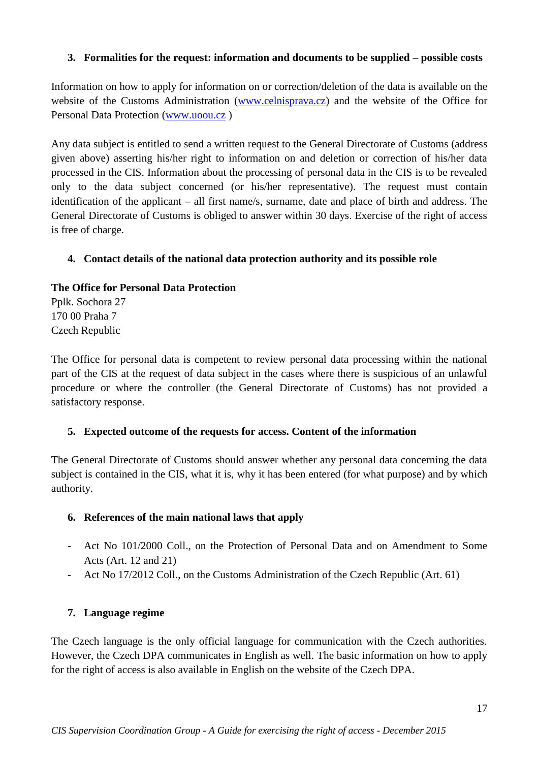### **3. Formalities for the request: information and documents to be supplied – possible costs**

Information on how to apply for information on or correction/deletion of the data is available on the website of the Customs Administration [\(www.celnisprava.cz\)](http://www.celnisprava.cz/) and the website of the Office for Personal Data Protection [\(www.uoou.cz](http://www.uoou.cz/) )

Any data subject is entitled to send a written request to the General Directorate of Customs (address given above) asserting his/her right to information on and deletion or correction of his/her data processed in the CIS. Information about the processing of personal data in the CIS is to be revealed only to the data subject concerned (or his/her representative). The request must contain identification of the applicant – all first name/s, surname, date and place of birth and address. The General Directorate of Customs is obliged to answer within 30 days. Exercise of the right of access is free of charge.

### **4. Contact details of the national data protection authority and its possible role**

#### **The Office for Personal Data Protection**

Pplk. Sochora 27 170 00 Praha 7 Czech Republic

The Office for personal data is competent to review personal data processing within the national part of the CIS at the request of data subject in the cases where there is suspicious of an unlawful procedure or where the controller (the General Directorate of Customs) has not provided a satisfactory response.

#### **5. Expected outcome of the requests for access. Content of the information**

The General Directorate of Customs should answer whether any personal data concerning the data subject is contained in the CIS, what it is, why it has been entered (for what purpose) and by which authority.

#### **6. References of the main national laws that apply**

- Act No 101/2000 Coll., on the Protection of Personal Data and on Amendment to Some Acts (Art. 12 and 21)
- Act No 17/2012 Coll., on the Customs Administration of the Czech Republic (Art. 61)

# **7. Language regime**

The Czech language is the only official language for communication with the Czech authorities. However, the Czech DPA communicates in English as well. The basic information on how to apply for the right of access is also available in English on the website of the Czech DPA.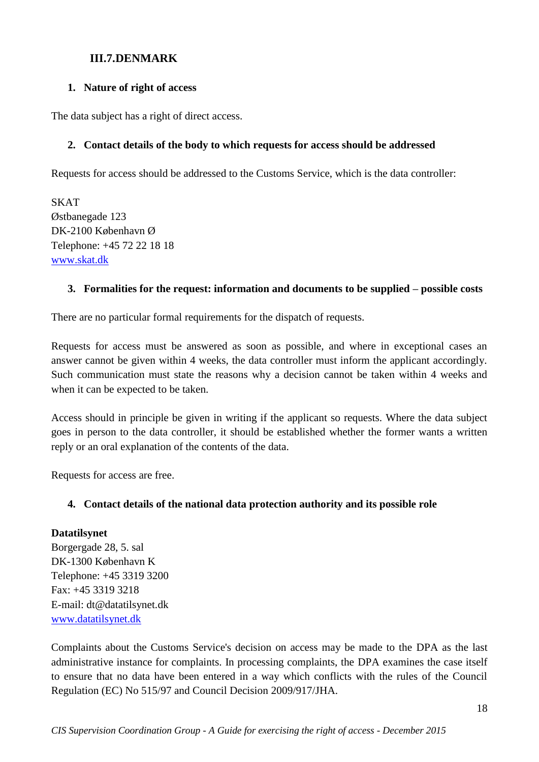# **III.7.DENMARK**

#### <span id="page-17-0"></span>**1. Nature of right of access**

The data subject has a right of direct access.

#### **2. Contact details of the body to which requests for access should be addressed**

Requests for access should be addressed to the Customs Service, which is the data controller:

SKAT Østbanegade 123 DK-2100 København Ø Telephone: +45 72 22 18 18 [www.skat.dk](http://www.skat.dk/)

#### **3. Formalities for the request: information and documents to be supplied – possible costs**

There are no particular formal requirements for the dispatch of requests.

Requests for access must be answered as soon as possible, and where in exceptional cases an answer cannot be given within 4 weeks, the data controller must inform the applicant accordingly. Such communication must state the reasons why a decision cannot be taken within 4 weeks and when it can be expected to be taken.

Access should in principle be given in writing if the applicant so requests. Where the data subject goes in person to the data controller, it should be established whether the former wants a written reply or an oral explanation of the contents of the data.

Requests for access are free.

#### **4. Contact details of the national data protection authority and its possible role**

#### **Datatilsynet**

Borgergade 28, 5. sal DK-1300 København K Telephone: +45 3319 3200 Fax: +45 3319 3218 E-mail: dt@datatilsynet.dk [www.datatilsynet.dk](http://www.datatilsynet.dk/)

Complaints about the Customs Service's decision on access may be made to the DPA as the last administrative instance for complaints. In processing complaints, the DPA examines the case itself to ensure that no data have been entered in a way which conflicts with the rules of the Council Regulation (EC) No 515/97 and Council Decision 2009/917/JHA.

18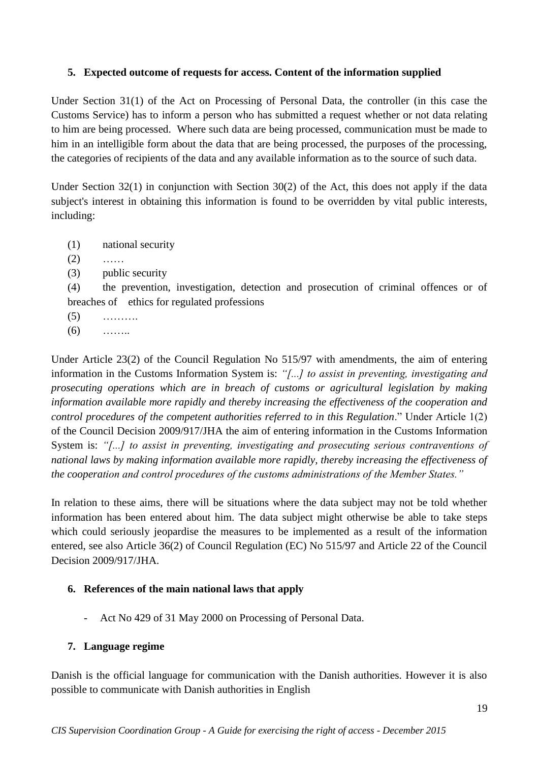#### **5. Expected outcome of requests for access. Content of the information supplied**

Under Section 31(1) of the Act on Processing of Personal Data, the controller (in this case the Customs Service) has to inform a person who has submitted a request whether or not data relating to him are being processed. Where such data are being processed, communication must be made to him in an intelligible form about the data that are being processed, the purposes of the processing, the categories of recipients of the data and any available information as to the source of such data.

Under Section  $32(1)$  in conjunction with Section  $30(2)$  of the Act, this does not apply if the data subject's interest in obtaining this information is found to be overridden by vital public interests, including:

- (1) national security
- $(2)$  ……
- (3) public security

(4) the prevention, investigation, detection and prosecution of criminal offences or of breaches of ethics for regulated professions

- $(5)$  ………
- $(6)$  ……

Under Article 23(2) of the Council Regulation No 515/97 with amendments, the aim of entering information in the Customs Information System is: *"[...] to assist in preventing, investigating and prosecuting operations which are in breach of customs or agricultural legislation by making information available more rapidly and thereby increasing the effectiveness of the cooperation and control procedures of the competent authorities referred to in this Regulation*." Under Article 1(2) of the Council Decision 2009/917/JHA the aim of entering information in the Customs Information System is: *"[...] to assist in preventing, investigating and prosecuting serious contraventions of national laws by making information available more rapidly, thereby increasing the effectiveness of the cooperation and control procedures of the customs administrations of the Member States."*

In relation to these aims, there will be situations where the data subject may not be told whether information has been entered about him. The data subject might otherwise be able to take steps which could seriously jeopardise the measures to be implemented as a result of the information entered, see also Article 36(2) of Council Regulation (EC) No 515/97 and Article 22 of the Council Decision 2009/917/JHA.

# **6. References of the main national laws that apply**

- Act No 429 of 31 May 2000 on Processing of Personal Data.

# **7. Language regime**

Danish is the official language for communication with the Danish authorities. However it is also possible to communicate with Danish authorities in English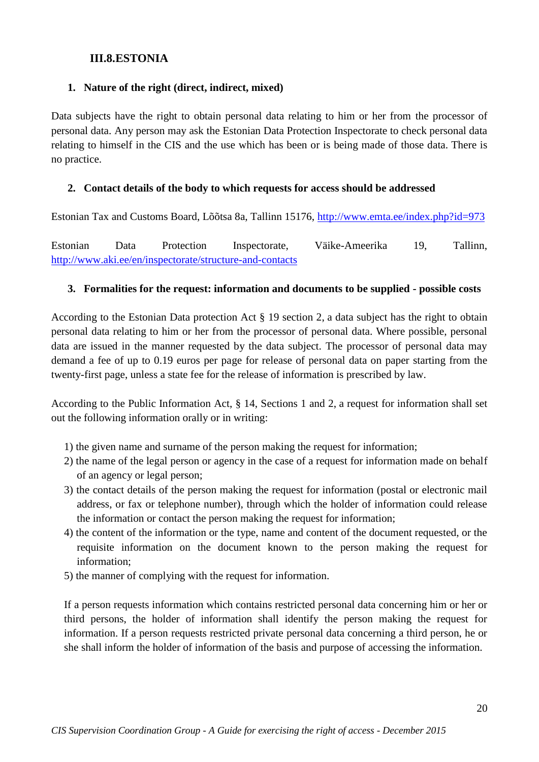#### **III.8.ESTONIA**

#### <span id="page-19-0"></span>**1. Nature of the right (direct, indirect, mixed)**

Data subjects have the right to obtain personal data relating to him or her from the processor of personal data. Any person may ask the Estonian Data Protection Inspectorate to check personal data relating to himself in the CIS and the use which has been or is being made of those data. There is no practice.

#### **2. Contact details of the body to which requests for access should be addressed**

Estonian Tax and Customs Board, Lõõtsa 8a, Tallinn 15176,<http://www.emta.ee/index.php?id=973>

Estonian Data Protection Inspectorate, Väike-Ameerika 19, Tallinn, <http://www.aki.ee/en/inspectorate/structure-and-contacts>

#### **3. Formalities for the request: information and documents to be supplied - possible costs**

According to the Estonian Data protection Act § 19 section 2, a data subject has the right to obtain personal data relating to him or her from the processor of personal data. Where possible, personal data are issued in the manner requested by the data subject. The processor of personal data may demand a fee of up to 0.19 euros per page for release of personal data on paper starting from the twenty-first page, unless a state fee for the release of information is prescribed by law.

According to the Public Information Act, § 14, Sections 1 and 2, a request for information shall set out the following information orally or in writing:

- 1) the given name and surname of the person making the request for information;
- 2) the name of the legal person or agency in the case of a request for information made on behalf of an agency or legal person;
- 3) the contact details of the person making the request for information (postal or electronic mail address, or fax or telephone number), through which the holder of information could release the information or contact the person making the request for information;
- 4) the content of the information or the type, name and content of the document requested, or the requisite information on the document known to the person making the request for information;
- 5) the manner of complying with the request for information.

If a person requests information which contains restricted personal data concerning him or her or third persons, the holder of information shall identify the person making the request for information. If a person requests restricted private personal data concerning a third person, he or she shall inform the holder of information of the basis and purpose of accessing the information.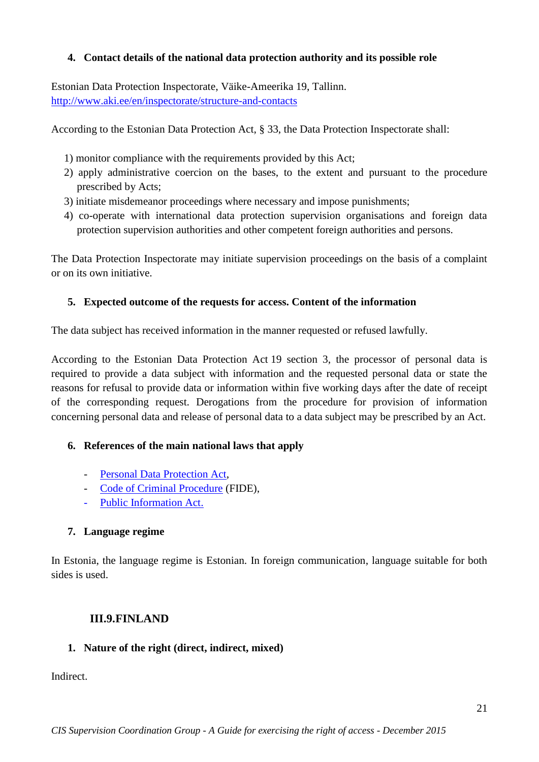### **4. Contact details of the national data protection authority and its possible role**

Estonian Data Protection Inspectorate, Väike-Ameerika 19, Tallinn. <http://www.aki.ee/en/inspectorate/structure-and-contacts>

According to the Estonian Data Protection Act, § 33, the Data Protection Inspectorate shall:

- 1) monitor compliance with the requirements provided by this Act;
- 2) apply administrative coercion on the bases, to the extent and pursuant to the procedure prescribed by Acts;
- 3) initiate misdemeanor proceedings where necessary and impose punishments;
- 4) co-operate with international data protection supervision organisations and foreign data protection supervision authorities and other competent foreign authorities and persons.

The Data Protection Inspectorate may initiate supervision proceedings on the basis of a complaint or on its own initiative.

### **5. Expected outcome of the requests for access. Content of the information**

The data subject has received information in the manner requested or refused lawfully.

According to the Estonian Data Protection Act 19 section 3, the processor of personal data is required to provide a data subject with information and the requested personal data or state the reasons for refusal to provide data or information within five working days after the date of receipt of the corresponding request. Derogations from the procedure for provision of information concerning personal data and release of personal data to a data subject may be prescribed by an Act.

#### **6. References of the main national laws that apply**

- [Personal Data Protection Act,](https://www.riigiteataja.ee/en/eli/509072014018/consolide)
- [Code of Criminal Procedure](https://www.riigiteataja.ee/en/eli/522082014002/consolide) (FIDE),
- [Public Information Act.](https://www.riigiteataja.ee/en/eli/510072014004/consolide)

# **7. Language regime**

In Estonia, the language regime is Estonian. In foreign communication, language suitable for both sides is used.

# **III.9.FINLAND**

#### <span id="page-20-0"></span>**1. Nature of the right (direct, indirect, mixed)**

Indirect.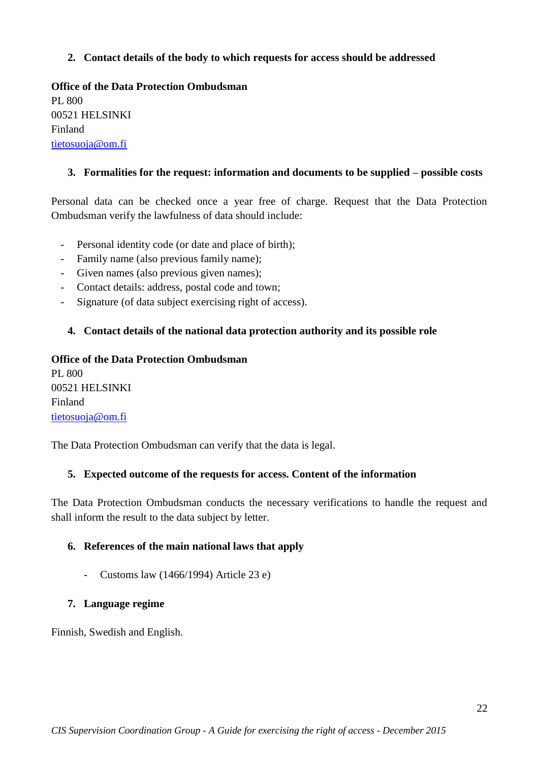### **2. Contact details of the body to which requests for access should be addressed**

**Office of the Data Protection Ombudsman** PL 800 00521 HELSINKI Finland [tietosuoja@om.fi](mailto:tietosuoja@om.fi)

### **3. Formalities for the request: information and documents to be supplied – possible costs**

Personal data can be checked once a year free of charge. Request that the Data Protection Ombudsman verify the lawfulness of data should include:

- Personal identity code (or date and place of birth);
- Family name (also previous family name);
- Given names (also previous given names);
- Contact details: address, postal code and town;
- Signature (of data subject exercising right of access).

#### **4. Contact details of the national data protection authority and its possible role**

# **Office of the Data Protection Ombudsman** PL 800 00521 HELSINKI Finland

[tietosuoja@om.fi](mailto:tietosuoja@om.fi)

The Data Protection Ombudsman can verify that the data is legal.

#### **5. Expected outcome of the requests for access. Content of the information**

The Data Protection Ombudsman conducts the necessary verifications to handle the request and shall inform the result to the data subject by letter.

#### **6. References of the main national laws that apply**

- Customs law (1466/1994) Article 23 e)

#### **7. Language regime**

Finnish, Swedish and English.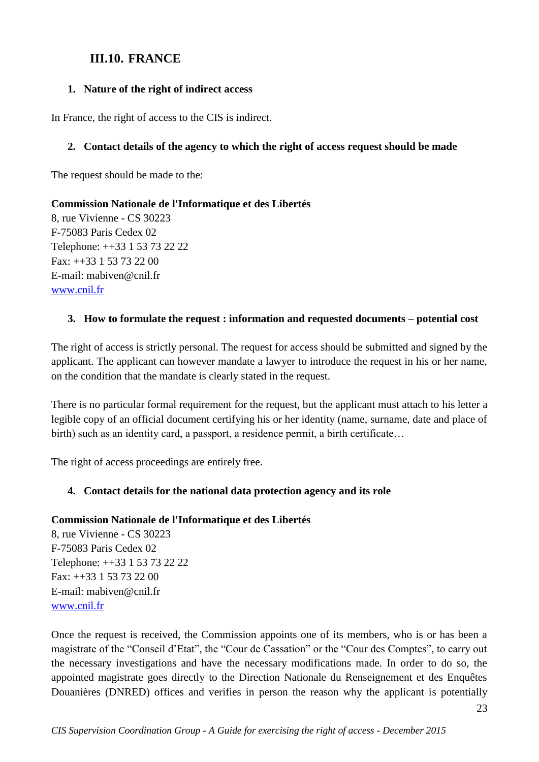# **III.10. FRANCE**

### <span id="page-22-0"></span>**1. Nature of the right of indirect access**

In France, the right of access to the CIS is indirect.

### **2. Contact details of the agency to which the right of access request should be made**

The request should be made to the:

# **Commission Nationale de l'Informatique et des Libertés**

8, rue Vivienne - CS 30223 F-75083 Paris Cedex 02 Telephone: ++33 1 53 73 22 22 Fax: ++33 1 53 73 22 00 E-mail: mabiven@cnil.fr [www.cnil.fr](http://www.cnil.fr/)

# **3. How to formulate the request : information and requested documents – potential cost**

The right of access is strictly personal. The request for access should be submitted and signed by the applicant. The applicant can however mandate a lawyer to introduce the request in his or her name, on the condition that the mandate is clearly stated in the request.

There is no particular formal requirement for the request, but the applicant must attach to his letter a legible copy of an official document certifying his or her identity (name, surname, date and place of birth) such as an identity card, a passport, a residence permit, a birth certificate…

The right of access proceedings are entirely free.

# **4. Contact details for the national data protection agency and its role**

#### **Commission Nationale de l'Informatique et des Libertés**

8, rue Vivienne - CS 30223 F-75083 Paris Cedex 02 Telephone: ++33 1 53 73 22 22 Fax: ++33 1 53 73 22 00 E-mail: mabiven@cnil.fr [www.cnil.fr](http://www.cnil.fr/)

Once the request is received, the Commission appoints one of its members, who is or has been a magistrate of the "Conseil d'Etat", the "Cour de Cassation" or the "Cour des Comptes", to carry out the necessary investigations and have the necessary modifications made. In order to do so, the appointed magistrate goes directly to the Direction Nationale du Renseignement et des Enquêtes Douanières (DNRED) offices and verifies in person the reason why the applicant is potentially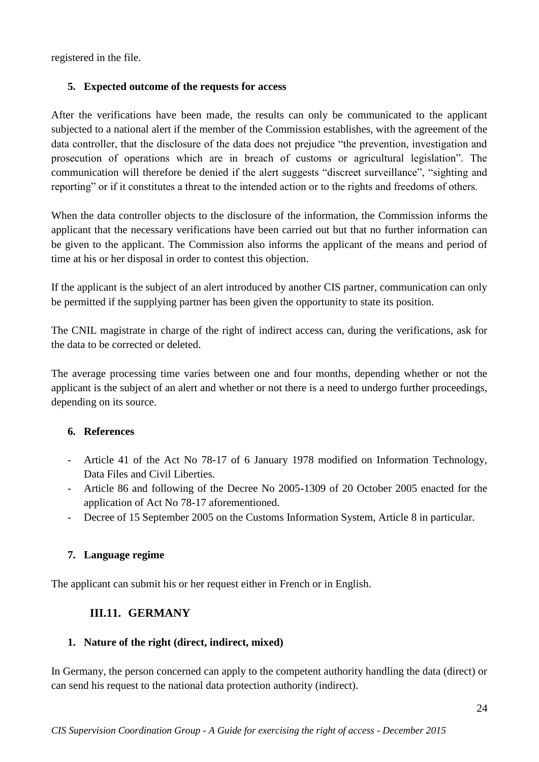registered in the file.

# **5. Expected outcome of the requests for access**

After the verifications have been made, the results can only be communicated to the applicant subjected to a national alert if the member of the Commission establishes, with the agreement of the data controller, that the disclosure of the data does not prejudice "the prevention, investigation and prosecution of operations which are in breach of customs or agricultural legislation". The communication will therefore be denied if the alert suggests "discreet surveillance", "sighting and reporting" or if it constitutes a threat to the intended action or to the rights and freedoms of others.

When the data controller objects to the disclosure of the information, the Commission informs the applicant that the necessary verifications have been carried out but that no further information can be given to the applicant. The Commission also informs the applicant of the means and period of time at his or her disposal in order to contest this objection.

If the applicant is the subject of an alert introduced by another CIS partner, communication can only be permitted if the supplying partner has been given the opportunity to state its position.

The CNIL magistrate in charge of the right of indirect access can, during the verifications, ask for the data to be corrected or deleted.

The average processing time varies between one and four months, depending whether or not the applicant is the subject of an alert and whether or not there is a need to undergo further proceedings, depending on its source.

# **6. References**

- Article 41 of the Act No 78-17 of 6 January 1978 modified on Information Technology, Data Files and Civil Liberties.
- Article 86 and following of the Decree No 2005-1309 of 20 October 2005 enacted for the application of Act No 78-17 aforementioned.
- Decree of 15 September 2005 on the Customs Information System, Article 8 in particular.

# **7. Language regime**

<span id="page-23-0"></span>The applicant can submit his or her request either in French or in English.

# **III.11. GERMANY**

# **1. Nature of the right (direct, indirect, mixed)**

In Germany, the person concerned can apply to the competent authority handling the data (direct) or can send his request to the national data protection authority (indirect).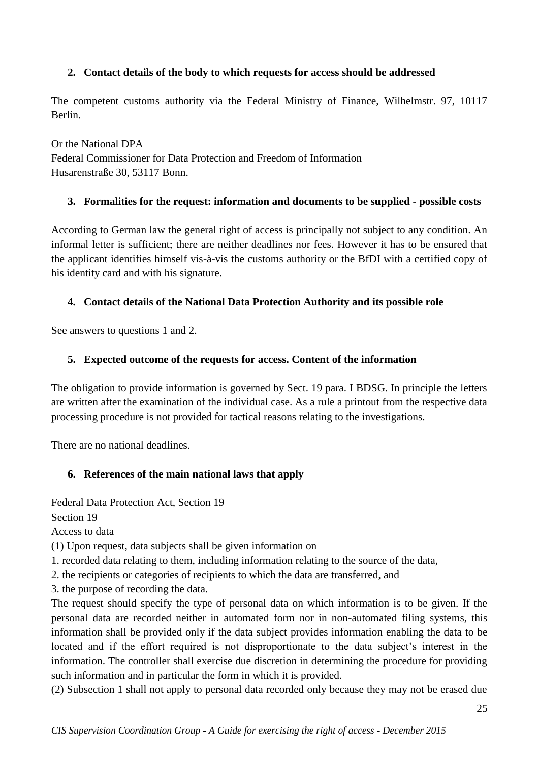# **2. Contact details of the body to which requests for access should be addressed**

The competent customs authority via the Federal Ministry of Finance, Wilhelmstr. 97, 10117 Berlin.

Or the National DPA Federal Commissioner for Data Protection and Freedom of Information Husarenstraße 30, 53117 Bonn.

### **3. Formalities for the request: information and documents to be supplied - possible costs**

According to German law the general right of access is principally not subject to any condition. An informal letter is sufficient; there are neither deadlines nor fees. However it has to be ensured that the applicant identifies himself vis-à-vis the customs authority or the BfDI with a certified copy of his identity card and with his signature.

# **4. Contact details of the National Data Protection Authority and its possible role**

See answers to questions 1 and 2.

# **5. Expected outcome of the requests for access. Content of the information**

The obligation to provide information is governed by Sect. 19 para. I BDSG. In principle the letters are written after the examination of the individual case. As a rule a printout from the respective data processing procedure is not provided for tactical reasons relating to the investigations.

There are no national deadlines.

# **6. References of the main national laws that apply**

Federal Data Protection Act, Section 19

Section 19

Access to data

(1) Upon request, data subjects shall be given information on

1. recorded data relating to them, including information relating to the source of the data,

2. the recipients or categories of recipients to which the data are transferred, and

3. the purpose of recording the data.

The request should specify the type of personal data on which information is to be given. If the personal data are recorded neither in automated form nor in non-automated filing systems, this information shall be provided only if the data subject provides information enabling the data to be located and if the effort required is not disproportionate to the data subject's interest in the information. The controller shall exercise due discretion in determining the procedure for providing such information and in particular the form in which it is provided.

(2) Subsection 1 shall not apply to personal data recorded only because they may not be erased due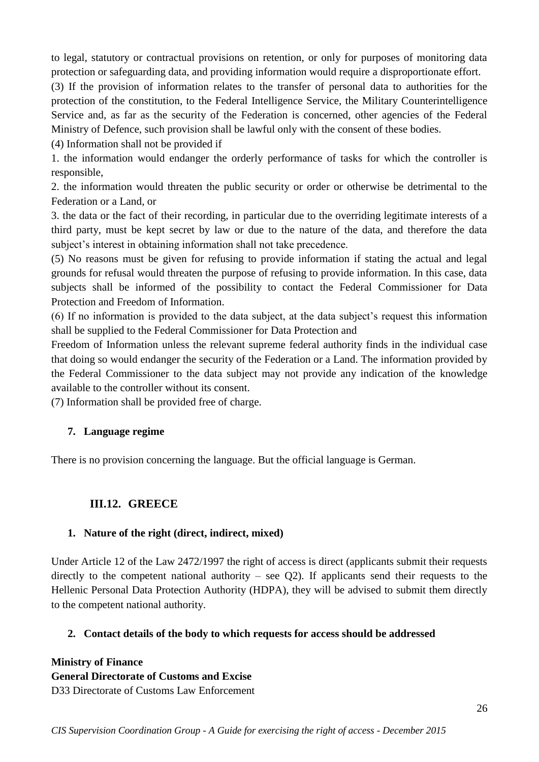to legal, statutory or contractual provisions on retention, or only for purposes of monitoring data protection or safeguarding data, and providing information would require a disproportionate effort.

(3) If the provision of information relates to the transfer of personal data to authorities for the protection of the constitution, to the Federal Intelligence Service, the Military Counterintelligence Service and, as far as the security of the Federation is concerned, other agencies of the Federal Ministry of Defence, such provision shall be lawful only with the consent of these bodies.

(4) Information shall not be provided if

1. the information would endanger the orderly performance of tasks for which the controller is responsible,

2. the information would threaten the public security or order or otherwise be detrimental to the Federation or a Land, or

3. the data or the fact of their recording, in particular due to the overriding legitimate interests of a third party, must be kept secret by law or due to the nature of the data, and therefore the data subject's interest in obtaining information shall not take precedence.

(5) No reasons must be given for refusing to provide information if stating the actual and legal grounds for refusal would threaten the purpose of refusing to provide information. In this case, data subjects shall be informed of the possibility to contact the Federal Commissioner for Data Protection and Freedom of Information.

(6) If no information is provided to the data subject, at the data subject's request this information shall be supplied to the Federal Commissioner for Data Protection and

Freedom of Information unless the relevant supreme federal authority finds in the individual case that doing so would endanger the security of the Federation or a Land. The information provided by the Federal Commissioner to the data subject may not provide any indication of the knowledge available to the controller without its consent.

(7) Information shall be provided free of charge.

# **7. Language regime**

There is no provision concerning the language. But the official language is German.

# **III.12. GREECE**

#### <span id="page-25-0"></span>**1. Nature of the right (direct, indirect, mixed)**

Under Article 12 of the Law 2472/1997 the right of access is direct (applicants submit their requests directly to the competent national authority – see  $Q2$ ). If applicants send their requests to the Hellenic Personal Data Protection Authority (HDPA), they will be advised to submit them directly to the competent national authority.

# **2. Contact details of the body to which requests for access should be addressed**

**Ministry of Finance General Directorate of Customs and Excise** D33 Directorate of Customs Law Enforcement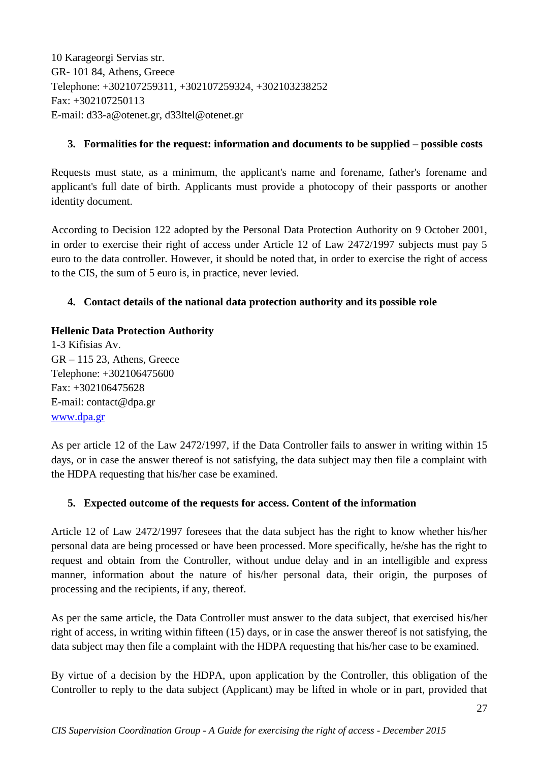10 Karageorgi Servias str. GR- 101 84, Athens, Greece Telephone: +302107259311, +302107259324, +302103238252 Fax: +302107250113 E-mail: d33-a@otenet.gr, d33ltel@otenet.gr

### **3. Formalities for the request: information and documents to be supplied – possible costs**

Requests must state, as a minimum, the applicant's name and forename, father's forename and applicant's full date of birth. Applicants must provide a photocopy of their passports or another identity document.

According to Decision 122 adopted by the Personal Data Protection Authority on 9 October 2001, in order to exercise their right of access under Article 12 of Law 2472/1997 subjects must pay 5 euro to the data controller. However, it should be noted that, in order to exercise the right of access to the CIS, the sum of 5 euro is, in practice, never levied.

# **4. Contact details of the national data protection authority and its possible role**

### **Hellenic Data Protection Authority**

1-3 Kifisias Av.  $GR - 115$  23, Athens, Greece Telephone: +302106475600 Fax: +302106475628 E-mail: contact@dpa.gr [www.dpa.gr](http://www.dpa.gr/)

As per article 12 of the Law 2472/1997, if the Data Controller fails to answer in writing within 15 days, or in case the answer thereof is not satisfying, the data subject may then file a complaint with the HDPA requesting that his/her case be examined.

# **5. Expected outcome of the requests for access. Content of the information**

Article 12 of Law 2472/1997 foresees that the data subject has the right to know whether his/her personal data are being processed or have been processed. More specifically, he/she has the right to request and obtain from the Controller, without undue delay and in an intelligible and express manner, information about the nature of his/her personal data, their origin, the purposes of processing and the recipients, if any, thereof.

As per the same article, the Data Controller must answer to the data subject, that exercised his/her right of access, in writing within fifteen (15) days, or in case the answer thereof is not satisfying, the data subject may then file a complaint with the HDPA requesting that his/her case to be examined.

By virtue of a decision by the HDPA, upon application by the Controller, this obligation of the Controller to reply to the data subject (Applicant) may be lifted in whole or in part, provided that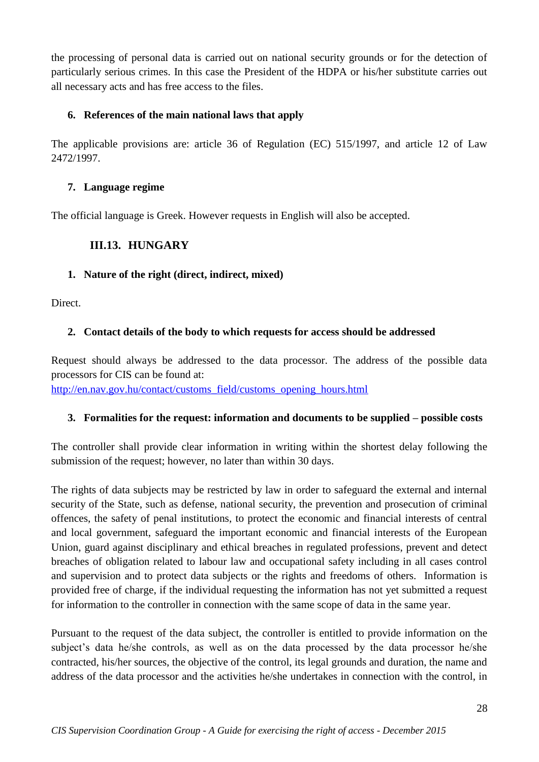the processing of personal data is carried out on national security grounds or for the detection of particularly serious crimes. In this case the President of the HDPA or his/her substitute carries out all necessary acts and has free access to the files.

### **6. References of the main national laws that apply**

The applicable provisions are: article 36 of Regulation (EC) 515/1997, and article 12 of Law 2472/1997.

#### **7. Language regime**

<span id="page-27-0"></span>The official language is Greek. However requests in English will also be accepted.

# **III.13. HUNGARY**

### **1. Nature of the right (direct, indirect, mixed)**

Direct.

# **2. Contact details of the body to which requests for access should be addressed**

Request should always be addressed to the data processor. The address of the possible data processors for CIS can be found at:

[http://en.nav.gov.hu/contact/customs\\_field/customs\\_opening\\_hours.html](http://en.nav.gov.hu/contact/customs_field/customs_opening_hours.html)

# **3. Formalities for the request: information and documents to be supplied – possible costs**

The controller shall provide clear information in writing within the shortest delay following the submission of the request; however, no later than within 30 days.

The rights of data subjects may be restricted by law in order to safeguard the external and internal security of the State, such as defense, national security, the prevention and prosecution of criminal offences, the safety of penal institutions, to protect the economic and financial interests of central and local government, safeguard the important economic and financial interests of the European Union, guard against disciplinary and ethical breaches in regulated professions, prevent and detect breaches of obligation related to labour law and occupational safety including in all cases control and supervision and to protect data subjects or the rights and freedoms of others. Information is provided free of charge, if the individual requesting the information has not yet submitted a request for information to the controller in connection with the same scope of data in the same year.

Pursuant to the request of the data subject, the controller is entitled to provide information on the subject's data he/she controls, as well as on the data processed by the data processor he/she contracted, his/her sources, the objective of the control, its legal grounds and duration, the name and address of the data processor and the activities he/she undertakes in connection with the control, in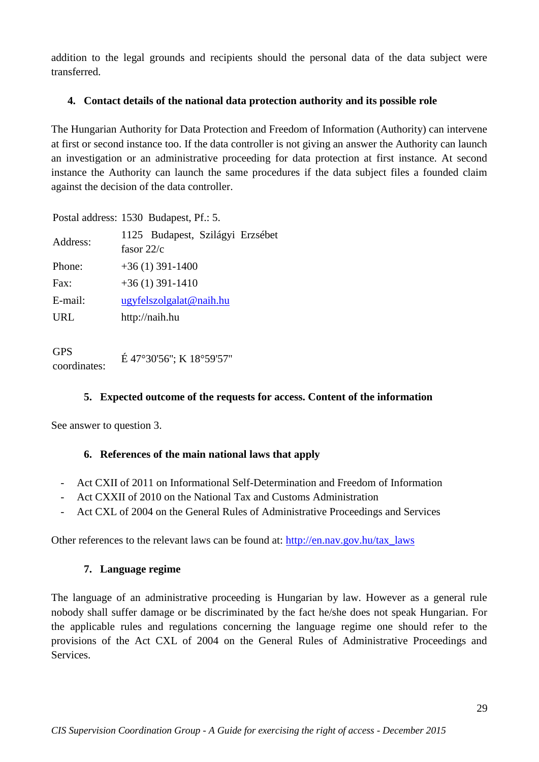addition to the legal grounds and recipients should the personal data of the data subject were transferred.

#### **4. Contact details of the national data protection authority and its possible role**

The Hungarian Authority for Data Protection and Freedom of Information (Authority) can intervene at first or second instance too. If the data controller is not giving an answer the Authority can launch an investigation or an administrative proceeding for data protection at first instance. At second instance the Authority can launch the same procedures if the data subject files a founded claim against the decision of the data controller.

Postal address: 1530 Budapest, Pf.: 5.

| Address: | 1125 Budapest, Szilágyi Erzsébet<br>fasor $22/c$ |
|----------|--------------------------------------------------|
| Phone:   | $+36(1)$ 391-1400                                |
| Fax:     | $+36(1)$ 391-1410                                |
| E-mail:  | ugyfelszolgalat@naih.hu                          |
| URL      | http://naih.hu                                   |
|          |                                                  |

GPS  $E$  47°30'56"; K 18°59'57"<br>coordinates:

# **5. Expected outcome of the requests for access. Content of the information**

See answer to question 3.

# **6. References of the main national laws that apply**

- Act CXII of 2011 on Informational Self-Determination and Freedom of Information
- Act CXXII of 2010 on the National Tax and Customs Administration
- Act CXL of 2004 on the General Rules of Administrative Proceedings and Services

Other references to the relevant laws can be found at: [http://en.nav.gov.hu/tax\\_laws](http://en.nav.gov.hu/tax_laws)

#### **7. Language regime**

The language of an administrative proceeding is Hungarian by law. However as a general rule nobody shall suffer damage or be discriminated by the fact he/she does not speak Hungarian. For the applicable rules and regulations concerning the language regime one should refer to the provisions of the Act CXL of 2004 on the General Rules of Administrative Proceedings and Services.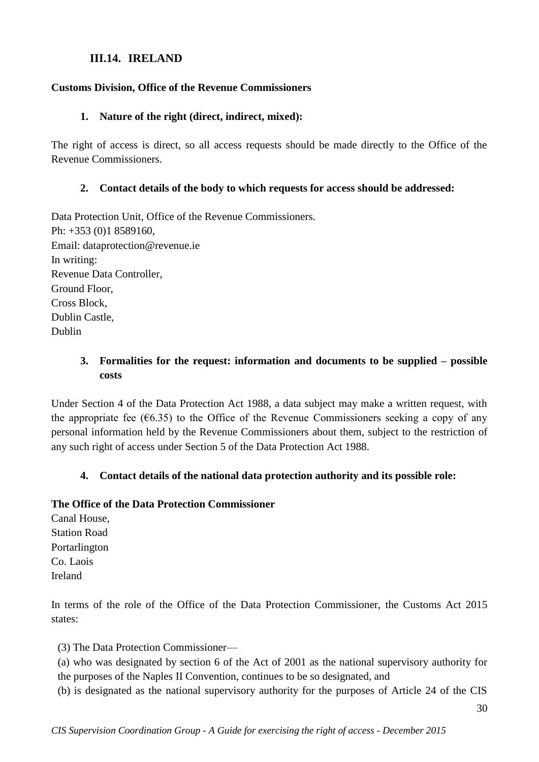### **III.14. IRELAND**

#### <span id="page-29-0"></span>**Customs Division, Office of the Revenue Commissioners**

#### **1. Nature of the right (direct, indirect, mixed):**

The right of access is direct, so all access requests should be made directly to the Office of the Revenue Commissioners.

#### **2. Contact details of the body to which requests for access should be addressed:**

Data Protection Unit, Office of the Revenue Commissioners. Ph: +353 (0)1 8589160, Email: dataprotection@revenue.ie In writing: Revenue Data Controller, Ground Floor, Cross Block, Dublin Castle, Dublin

### **3. Formalities for the request: information and documents to be supplied – possible costs**

Under Section 4 of the Data Protection Act 1988, a data subject may make a written request, with the appropriate fee ( $6.35$ ) to the Office of the Revenue Commissioners seeking a copy of any personal information held by the Revenue Commissioners about them, subject to the restriction of any such right of access under Section 5 of the Data Protection Act 1988.

#### **4. Contact details of the national data protection authority and its possible role:**

#### **The Office of the Data Protection Commissioner**

Canal House, Station Road Portarlington Co. Laois Ireland

In terms of the role of the Office of the Data Protection Commissioner, the Customs Act 2015 states:

(3) The Data Protection Commissioner—

(a) who was designated by section 6 of the Act of 2001 as the national supervisory authority for the purposes of the Naples II Convention, continues to be so designated, and

(b) is designated as the national supervisory authority for the purposes of Article 24 of the CIS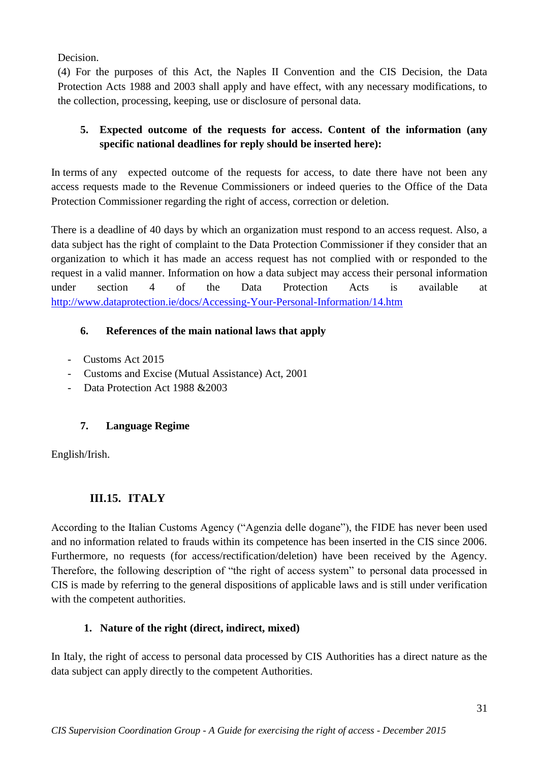Decision.

(4) For the purposes of this Act, the Naples II Convention and the CIS Decision, the Data Protection Acts 1988 and 2003 shall apply and have effect, with any necessary modifications, to the collection, processing, keeping, use or disclosure of personal data.

# **5. Expected outcome of the requests for access. Content of the information (any specific national deadlines for reply should be inserted here):**

In terms of any expected outcome of the requests for access, to date there have not been any access requests made to the Revenue Commissioners or indeed queries to the Office of the Data Protection Commissioner regarding the right of access, correction or deletion.

There is a deadline of 40 days by which an organization must respond to an access request. Also, a data subject has the right of complaint to the Data Protection Commissioner if they consider that an organization to which it has made an access request has not complied with or responded to the request in a valid manner. Information on how a data subject may access their personal information under section 4 of the Data Protection Acts is available at <http://www.dataprotection.ie/docs/Accessing-Your-Personal-Information/14.htm>

# **6. References of the main national laws that apply**

- Customs Act 2015
- Customs and Excise (Mutual Assistance) Act, 2001
- Data Protection Act 1988 & 2003

# **7. Language Regime**

English/Irish.

# **III.15. ITALY**

<span id="page-30-0"></span>According to the Italian Customs Agency ("Agenzia delle dogane"), the FIDE has never been used and no information related to frauds within its competence has been inserted in the CIS since 2006. Furthermore, no requests (for access/rectification/deletion) have been received by the Agency. Therefore, the following description of "the right of access system" to personal data processed in CIS is made by referring to the general dispositions of applicable laws and is still under verification with the competent authorities.

# **1. Nature of the right (direct, indirect, mixed)**

In Italy, the right of access to personal data processed by CIS Authorities has a direct nature as the data subject can apply directly to the competent Authorities.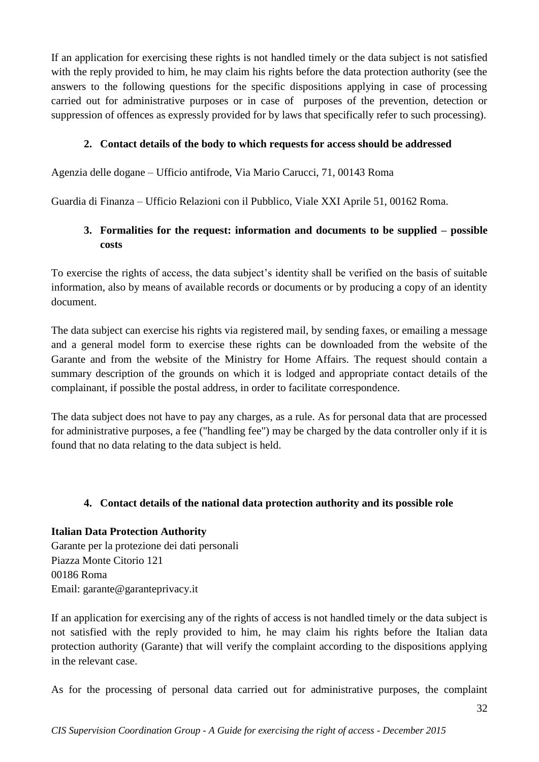If an application for exercising these rights is not handled timely or the data subject is not satisfied with the reply provided to him, he may claim his rights before the data protection authority (see the answers to the following questions for the specific dispositions applying in case of processing carried out for administrative purposes or in case of purposes of the prevention, detection or suppression of offences as expressly provided for by laws that specifically refer to such processing).

### **2. Contact details of the body to which requests for access should be addressed**

Agenzia delle dogane – Ufficio antifrode, Via Mario Carucci, 71, 00143 Roma

Guardia di Finanza – Ufficio Relazioni con il Pubblico, Viale XXI Aprile 51, 00162 Roma.

# **3. Formalities for the request: information and documents to be supplied – possible costs**

To exercise the rights of access, the data subject's identity shall be verified on the basis of suitable information, also by means of available records or documents or by producing a copy of an identity document.

The data subject can exercise his rights via registered mail, by sending faxes, or emailing a message and a general model form to exercise these rights can be downloaded from the website of the Garante and from the website of the Ministry for Home Affairs. The request should contain a summary description of the grounds on which it is lodged and appropriate contact details of the complainant, if possible the postal address, in order to facilitate correspondence.

The data subject does not have to pay any charges, as a rule. As for personal data that are processed for administrative purposes, a fee ("handling fee") may be charged by the data controller only if it is found that no data relating to the data subject is held.

# **4. Contact details of the national data protection authority and its possible role**

#### **Italian Data Protection Authority**

Garante per la protezione dei dati personali Piazza Monte Citorio 121 00186 Roma Email: garante@garanteprivacy.it

If an application for exercising any of the rights of access is not handled timely or the data subject is not satisfied with the reply provided to him, he may claim his rights before the Italian data protection authority (Garante) that will verify the complaint according to the dispositions applying in the relevant case.

As for the processing of personal data carried out for administrative purposes, the complaint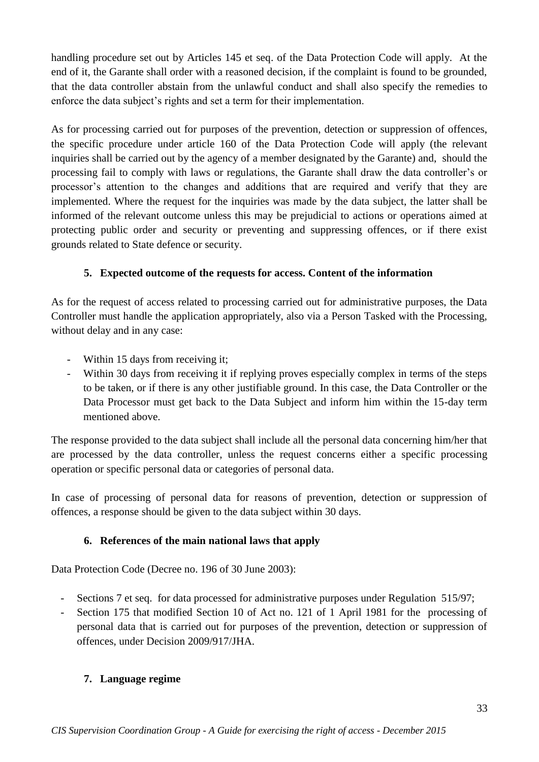handling procedure set out by Articles 145 et seq. of the Data Protection Code will apply. At the end of it, the Garante shall order with a reasoned decision, if the complaint is found to be grounded, that the data controller abstain from the unlawful conduct and shall also specify the remedies to enforce the data subject's rights and set a term for their implementation.

As for processing carried out for purposes of the prevention, detection or suppression of offences, the specific procedure under article 160 of the Data Protection Code will apply (the relevant inquiries shall be carried out by the agency of a member designated by the Garante) and, should the processing fail to comply with laws or regulations, the Garante shall draw the data controller's or processor's attention to the changes and additions that are required and verify that they are implemented. Where the request for the inquiries was made by the data subject, the latter shall be informed of the relevant outcome unless this may be prejudicial to actions or operations aimed at protecting public order and security or preventing and suppressing offences, or if there exist grounds related to State defence or security.

# **5. Expected outcome of the requests for access. Content of the information**

As for the request of access related to processing carried out for administrative purposes, the Data Controller must handle the application appropriately, also via a Person Tasked with the Processing, without delay and in any case:

- Within 15 days from receiving it;
- Within 30 days from receiving it if replying proves especially complex in terms of the steps to be taken, or if there is any other justifiable ground. In this case, the Data Controller or the Data Processor must get back to the Data Subject and inform him within the 15-day term mentioned above.

The response provided to the data subject shall include all the personal data concerning him/her that are processed by the data controller, unless the request concerns either a specific processing operation or specific personal data or categories of personal data.

In case of processing of personal data for reasons of prevention, detection or suppression of offences, a response should be given to the data subject within 30 days.

# **6. References of the main national laws that apply**

Data Protection Code (Decree no. 196 of 30 June 2003):

- Sections 7 et seq. for data processed for administrative purposes under Regulation 515/97;
- Section 175 that modified Section 10 of Act no. 121 of 1 April 1981 for the processing of personal data that is carried out for purposes of the prevention, detection or suppression of offences, under Decision 2009/917/JHA.

# **7. Language regime**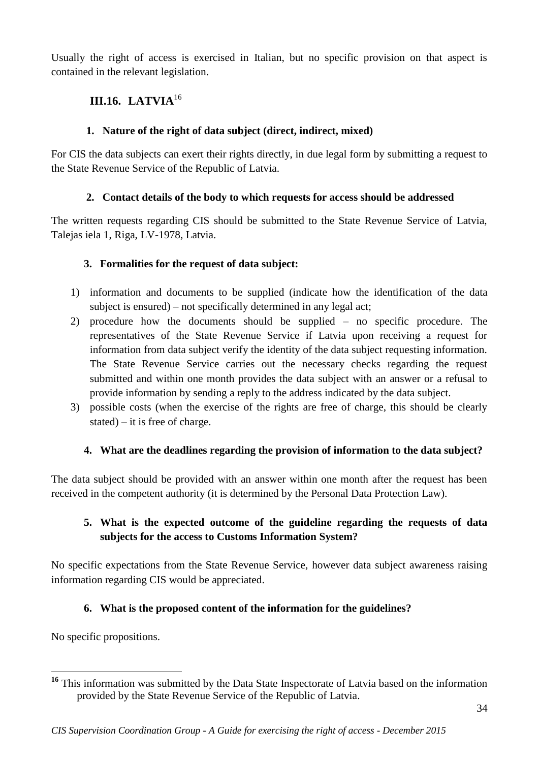Usually the right of access is exercised in Italian, but no specific provision on that aspect is contained in the relevant legislation.

# <span id="page-33-0"></span>**III.16. LATVIA**<sup>16</sup>

# **1. Nature of the right of data subject (direct, indirect, mixed)**

For CIS the data subjects can exert their rights directly, in due legal form by submitting a request to the State Revenue Service of the Republic of Latvia.

# **2. Contact details of the body to which requests for access should be addressed**

The written requests regarding CIS should be submitted to the State Revenue Service of Latvia, Talejas iela 1, Riga, LV-1978, Latvia.

# **3. Formalities for the request of data subject:**

- 1) information and documents to be supplied (indicate how the identification of the data subject is ensured) – not specifically determined in any legal act;
- 2) procedure how the documents should be supplied no specific procedure. The representatives of the State Revenue Service if Latvia upon receiving a request for information from data subject verify the identity of the data subject requesting information. The State Revenue Service carries out the necessary checks regarding the request submitted and within one month provides the data subject with an answer or a refusal to provide information by sending a reply to the address indicated by the data subject.
- 3) possible costs (when the exercise of the rights are free of charge, this should be clearly stated) – it is free of charge.

# **4. What are the deadlines regarding the provision of information to the data subject?**

The data subject should be provided with an answer within one month after the request has been received in the competent authority (it is determined by the Personal Data Protection Law).

# **5. What is the expected outcome of the guideline regarding the requests of data subjects for the access to Customs Information System?**

No specific expectations from the State Revenue Service, however data subject awareness raising information regarding CIS would be appreciated.

# **6. What is the proposed content of the information for the guidelines?**

No specific propositions.

<sup>&</sup>lt;u>.</u> <sup>16</sup> This information was submitted by the Data State Inspectorate of Latvia based on the information provided by the State Revenue Service of the Republic of Latvia.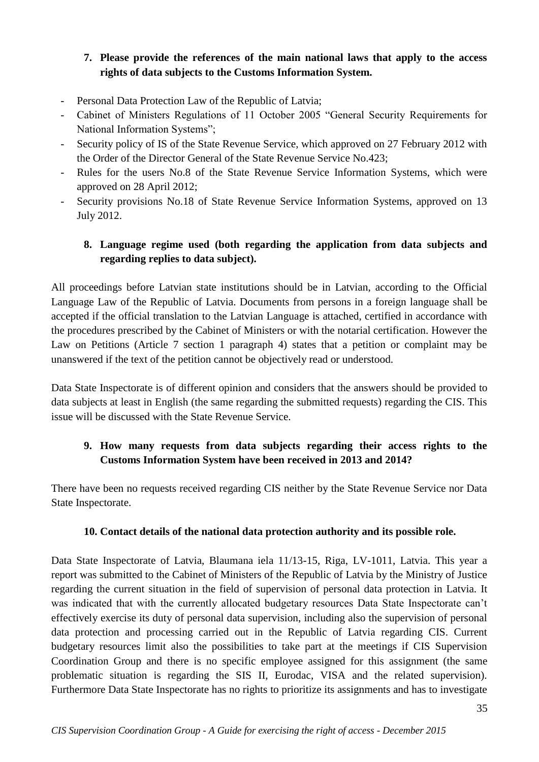# **7. Please provide the references of the main national laws that apply to the access rights of data subjects to the Customs Information System.**

- Personal Data Protection Law of the Republic of Latvia;
- Cabinet of Ministers Regulations of 11 October 2005 "General Security Requirements for National Information Systems";
- Security policy of IS of the State Revenue Service, which approved on 27 February 2012 with the Order of the Director General of the State Revenue Service No.423;
- Rules for the users No.8 of the State Revenue Service Information Systems, which were approved on 28 April 2012;
- Security provisions No.18 of State Revenue Service Information Systems, approved on 13 July 2012.

# **8. Language regime used (both regarding the application from data subjects and regarding replies to data subject).**

All proceedings before Latvian state institutions should be in Latvian, according to the Official Language Law of the Republic of Latvia. Documents from persons in a foreign language shall be accepted if the official translation to the Latvian Language is attached, certified in accordance with the procedures prescribed by the Cabinet of Ministers or with the notarial certification. However the Law on Petitions (Article 7 section 1 paragraph 4) states that a petition or complaint may be unanswered if the text of the petition cannot be objectively read or understood.

Data State Inspectorate is of different opinion and considers that the answers should be provided to data subjects at least in English (the same regarding the submitted requests) regarding the CIS. This issue will be discussed with the State Revenue Service.

# **9. How many requests from data subjects regarding their access rights to the Customs Information System have been received in 2013 and 2014?**

There have been no requests received regarding CIS neither by the State Revenue Service nor Data State Inspectorate.

# **10. Contact details of the national data protection authority and its possible role.**

Data State Inspectorate of Latvia, Blaumana iela 11/13-15, Riga, LV-1011, Latvia. This year a report was submitted to the Cabinet of Ministers of the Republic of Latvia by the Ministry of Justice regarding the current situation in the field of supervision of personal data protection in Latvia. It was indicated that with the currently allocated budgetary resources Data State Inspectorate can't effectively exercise its duty of personal data supervision, including also the supervision of personal data protection and processing carried out in the Republic of Latvia regarding CIS. Current budgetary resources limit also the possibilities to take part at the meetings if CIS Supervision Coordination Group and there is no specific employee assigned for this assignment (the same problematic situation is regarding the SIS II, Eurodac, VISA and the related supervision). Furthermore Data State Inspectorate has no rights to prioritize its assignments and has to investigate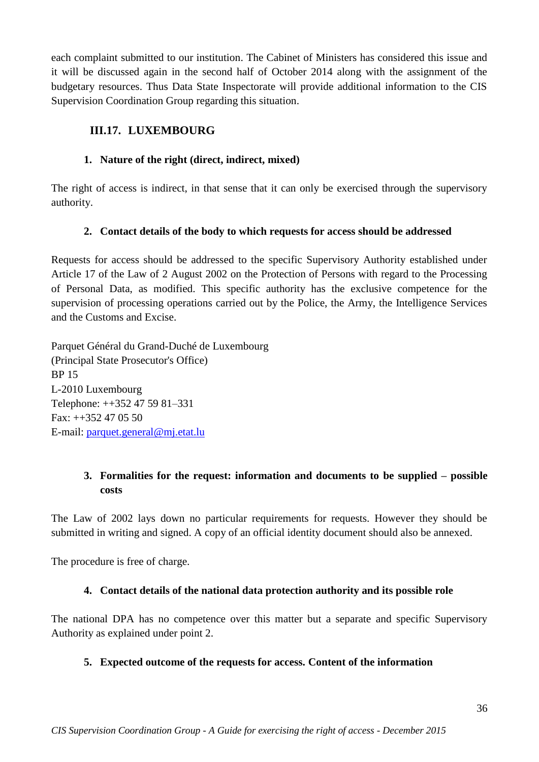each complaint submitted to our institution. The Cabinet of Ministers has considered this issue and it will be discussed again in the second half of October 2014 along with the assignment of the budgetary resources. Thus Data State Inspectorate will provide additional information to the CIS Supervision Coordination Group regarding this situation.

# <span id="page-35-0"></span>**III.17. LUXEMBOURG**

# **1. Nature of the right (direct, indirect, mixed)**

The right of access is indirect, in that sense that it can only be exercised through the supervisory authority.

# **2. Contact details of the body to which requests for access should be addressed**

Requests for access should be addressed to the specific Supervisory Authority established under Article 17 of the Law of 2 August 2002 on the Protection of Persons with regard to the Processing of Personal Data, as modified. This specific authority has the exclusive competence for the supervision of processing operations carried out by the Police, the Army, the Intelligence Services and the Customs and Excise.

Parquet Général du Grand-Duché de Luxembourg (Principal State Prosecutor's Office) BP 15 L-2010 Luxembourg Telephone: ++352 47 59 81–331 Fax: ++352 47 05 50 E-mail: [parquet.general@mj.etat.lu](mailto:parquet.general@mj.etat.lu)

# **3. Formalities for the request: information and documents to be supplied – possible costs**

The Law of 2002 lays down no particular requirements for requests. However they should be submitted in writing and signed. A copy of an official identity document should also be annexed.

The procedure is free of charge.

# **4. Contact details of the national data protection authority and its possible role**

The national DPA has no competence over this matter but a separate and specific Supervisory Authority as explained under point 2.

# **5. Expected outcome of the requests for access. Content of the information**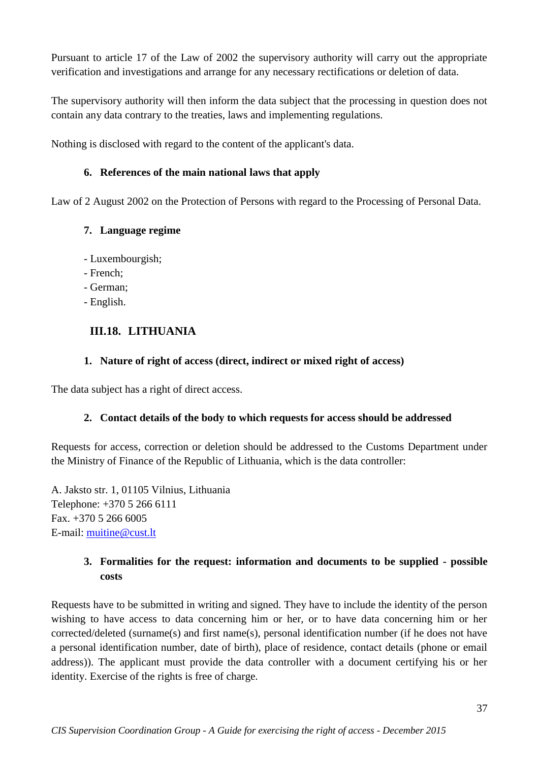Pursuant to article 17 of the Law of 2002 the supervisory authority will carry out the appropriate verification and investigations and arrange for any necessary rectifications or deletion of data.

The supervisory authority will then inform the data subject that the processing in question does not contain any data contrary to the treaties, laws and implementing regulations.

Nothing is disclosed with regard to the content of the applicant's data.

# **6. References of the main national laws that apply**

Law of 2 August 2002 on the Protection of Persons with regard to the Processing of Personal Data.

### **7. Language regime**

- Luxembourgish;
- French;
- German;
- English.

# <span id="page-36-0"></span>**III.18. LITHUANIA**

### **1. Nature of right of access (direct, indirect or mixed right of access)**

The data subject has a right of direct access.

# **2. Contact details of the body to which requests for access should be addressed**

Requests for access, correction or deletion should be addressed to the Customs Department under the Ministry of Finance of the Republic of Lithuania, which is the data controller:

A. Jaksto str. 1, 01105 Vilnius, Lithuania Telephone: +370 5 266 6111 Fax. +370 5 266 6005 E-mail: [muitine@cust.lt](mailto:muitine@cust.lt)

# **3. Formalities for the request: information and documents to be supplied - possible costs**

Requests have to be submitted in writing and signed. They have to include the identity of the person wishing to have access to data concerning him or her, or to have data concerning him or her corrected/deleted (surname(s) and first name(s), personal identification number (if he does not have a personal identification number, date of birth), place of residence, contact details (phone or email address)). The applicant must provide the data controller with a document certifying his or her identity. Exercise of the rights is free of charge.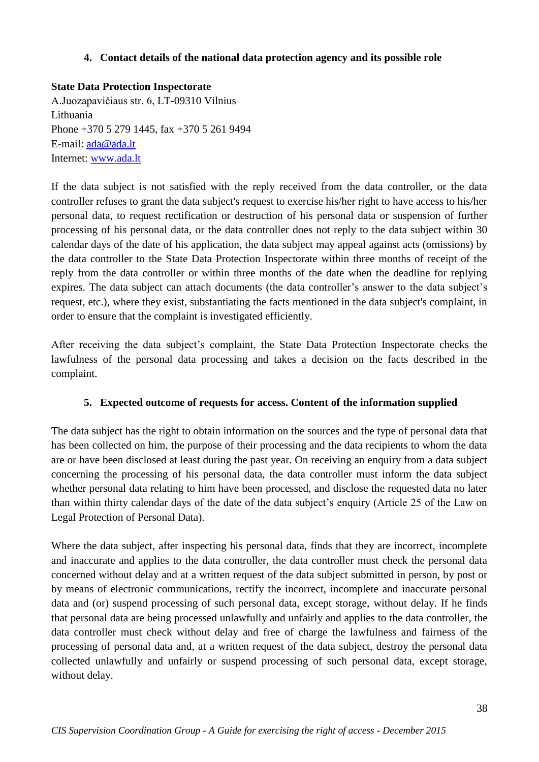#### **4. Contact details of the national data protection agency and its possible role**

#### **State Data Protection Inspectorate**

A.Juozapavičiaus str. 6, LT-09310 Vilnius Lithuania Phone +370 5 279 1445, fax +370 5 261 9494 E-mail: [ada@ada.lt](mailto:ada@ada.lt) Internet: [www.ada.lt](http://www.ada.lt/)

If the data subject is not satisfied with the reply received from the data controller, or the data controller refuses to grant the data subject's request to exercise his/her right to have access to his/her personal data, to request rectification or destruction of his personal data or suspension of further processing of his personal data, or the data controller does not reply to the data subject within 30 calendar days of the date of his application, the data subject may appeal against acts (omissions) by the data controller to the State Data Protection Inspectorate within three months of receipt of the reply from the data controller or within three months of the date when the deadline for replying expires. The data subject can attach documents (the data controller's answer to the data subject's request, etc.), where they exist, substantiating the facts mentioned in the data subject's complaint, in order to ensure that the complaint is investigated efficiently.

After receiving the data subject's complaint, the State Data Protection Inspectorate checks the lawfulness of the personal data processing and takes a decision on the facts described in the complaint.

#### **5. Expected outcome of requests for access. Content of the information supplied**

The data subject has the right to obtain information on the sources and the type of personal data that has been collected on him, the purpose of their processing and the data recipients to whom the data are or have been disclosed at least during the past year. On receiving an enquiry from a data subject concerning the processing of his personal data, the data controller must inform the data subject whether personal data relating to him have been processed, and disclose the requested data no later than within thirty calendar days of the date of the data subject's enquiry (Article 25 of the Law on Legal Protection of Personal Data).

Where the data subject, after inspecting his personal data, finds that they are incorrect, incomplete and inaccurate and applies to the data controller, the data controller must check the personal data concerned without delay and at a written request of the data subject submitted in person, by post or by means of electronic communications, rectify the incorrect, incomplete and inaccurate personal data and (or) suspend processing of such personal data, except storage, without delay. If he finds that personal data are being processed unlawfully and unfairly and applies to the data controller, the data controller must check without delay and free of charge the lawfulness and fairness of the processing of personal data and, at a written request of the data subject, destroy the personal data collected unlawfully and unfairly or suspend processing of such personal data, except storage, without delay.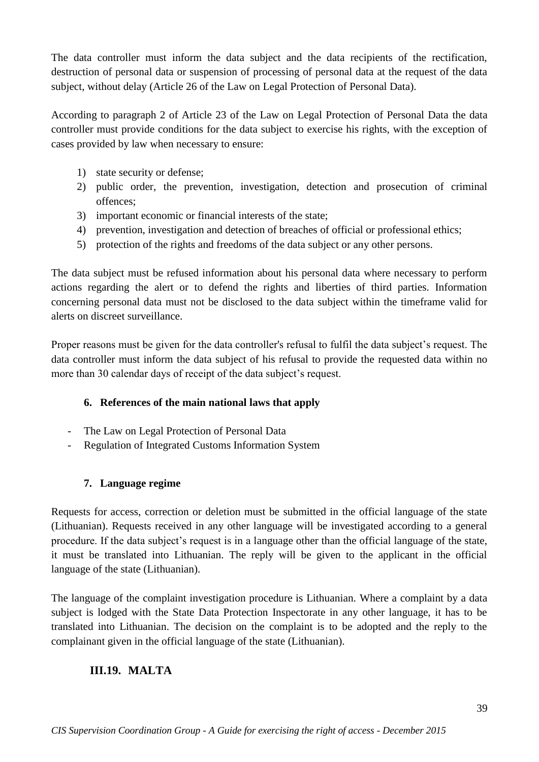The data controller must inform the data subject and the data recipients of the rectification, destruction of personal data or suspension of processing of personal data at the request of the data subject, without delay (Article 26 of the Law on Legal Protection of Personal Data).

According to paragraph 2 of Article 23 of the Law on Legal Protection of Personal Data the data controller must provide conditions for the data subject to exercise his rights, with the exception of cases provided by law when necessary to ensure:

- 1) state security or defense;
- 2) public order, the prevention, investigation, detection and prosecution of criminal offences;
- 3) important economic or financial interests of the state;
- 4) prevention, investigation and detection of breaches of official or professional ethics;
- 5) protection of the rights and freedoms of the data subject or any other persons.

The data subject must be refused information about his personal data where necessary to perform actions regarding the alert or to defend the rights and liberties of third parties. Information concerning personal data must not be disclosed to the data subject within the timeframe valid for alerts on discreet surveillance.

Proper reasons must be given for the data controller's refusal to fulfil the data subject's request. The data controller must inform the data subject of his refusal to provide the requested data within no more than 30 calendar days of receipt of the data subject's request.

# **6. References of the main national laws that apply**

- The Law on Legal Protection of Personal Data
- Regulation of Integrated Customs Information System

#### **7. Language regime**

Requests for access, correction or deletion must be submitted in the official language of the state (Lithuanian). Requests received in any other language will be investigated according to a general procedure. If the data subject's request is in a language other than the official language of the state, it must be translated into Lithuanian. The reply will be given to the applicant in the official language of the state (Lithuanian).

The language of the complaint investigation procedure is Lithuanian. Where a complaint by a data subject is lodged with the State Data Protection Inspectorate in any other language, it has to be translated into Lithuanian. The decision on the complaint is to be adopted and the reply to the complainant given in the official language of the state (Lithuanian).

# <span id="page-38-0"></span>**III.19. MALTA**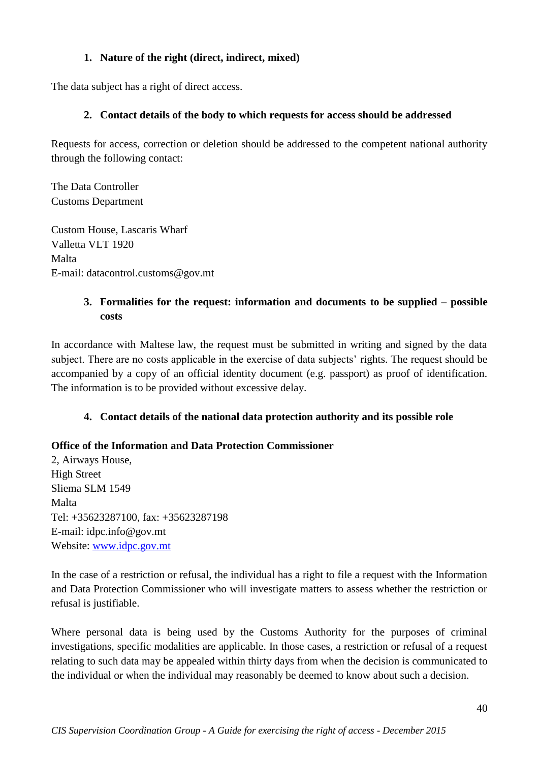# **1. Nature of the right (direct, indirect, mixed)**

The data subject has a right of direct access.

# **2. Contact details of the body to which requests for access should be addressed**

Requests for access, correction or deletion should be addressed to the competent national authority through the following contact:

The Data Controller Customs Department

Custom House, Lascaris Wharf Valletta VLT 1920 Malta E-mail: datacontrol.customs@gov.mt

# **3. Formalities for the request: information and documents to be supplied – possible costs**

In accordance with Maltese law, the request must be submitted in writing and signed by the data subject. There are no costs applicable in the exercise of data subjects' rights. The request should be accompanied by a copy of an official identity document (e.g. passport) as proof of identification. The information is to be provided without excessive delay.

# **4. Contact details of the national data protection authority and its possible role**

# **Office of the Information and Data Protection Commissioner**

2, Airways House, High Street Sliema SLM 1549 Malta Tel: +35623287100, fax: +35623287198 E-mail: idpc.info@gov.mt Website: [www.idpc.gov.mt](http://www.idpc.gov.mt/)

In the case of a restriction or refusal, the individual has a right to file a request with the Information and Data Protection Commissioner who will investigate matters to assess whether the restriction or refusal is justifiable.

Where personal data is being used by the Customs Authority for the purposes of criminal investigations, specific modalities are applicable. In those cases, a restriction or refusal of a request relating to such data may be appealed within thirty days from when the decision is communicated to the individual or when the individual may reasonably be deemed to know about such a decision.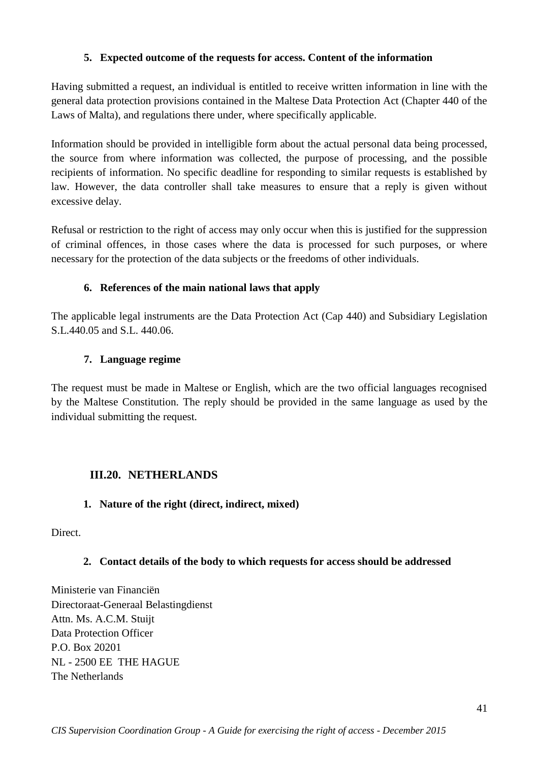### **5. Expected outcome of the requests for access. Content of the information**

Having submitted a request, an individual is entitled to receive written information in line with the general data protection provisions contained in the Maltese Data Protection Act (Chapter 440 of the Laws of Malta), and regulations there under, where specifically applicable.

Information should be provided in intelligible form about the actual personal data being processed, the source from where information was collected, the purpose of processing, and the possible recipients of information. No specific deadline for responding to similar requests is established by law. However, the data controller shall take measures to ensure that a reply is given without excessive delay.

Refusal or restriction to the right of access may only occur when this is justified for the suppression of criminal offences, in those cases where the data is processed for such purposes, or where necessary for the protection of the data subjects or the freedoms of other individuals.

#### **6. References of the main national laws that apply**

The applicable legal instruments are the Data Protection Act (Cap 440) and Subsidiary Legislation S.L.440.05 and S.L. 440.06.

#### **7. Language regime**

The request must be made in Maltese or English, which are the two official languages recognised by the Maltese Constitution. The reply should be provided in the same language as used by the individual submitting the request.

# <span id="page-40-0"></span>**III.20. NETHERLANDS**

#### **1. Nature of the right (direct, indirect, mixed)**

Direct.

# **2. Contact details of the body to which requests for access should be addressed**

Ministerie van Financiën Directoraat-Generaal Belastingdienst Attn. Ms. A.C.M. Stuijt Data Protection Officer P.O. Box 20201 NL - 2500 EE THE HAGUE The Netherlands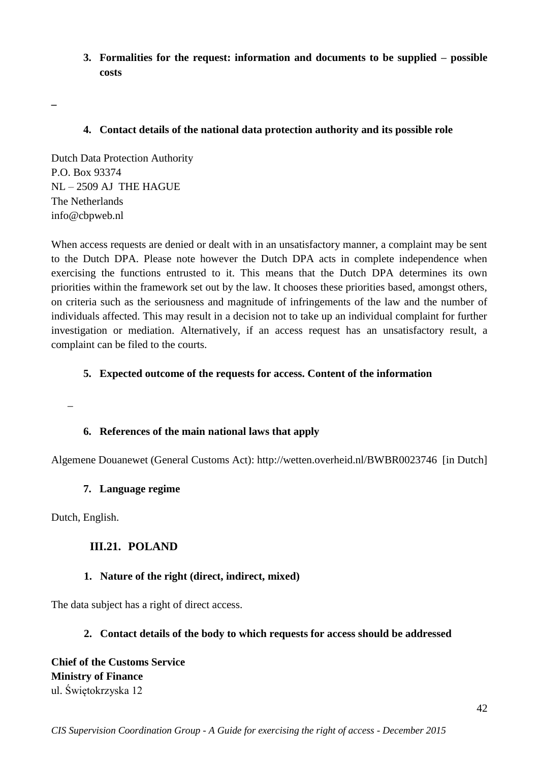**3. Formalities for the request: information and documents to be supplied – possible costs** 

#### **4. Contact details of the national data protection authority and its possible role**

Dutch Data Protection Authority P.O. Box 93374 NL – 2509 AJ THE HAGUE The Netherlands info@cbpweb.nl

When access requests are denied or dealt with in an unsatisfactory manner, a complaint may be sent to the Dutch DPA. Please note however the Dutch DPA acts in complete independence when exercising the functions entrusted to it. This means that the Dutch DPA determines its own priorities within the framework set out by the law. It chooses these priorities based, amongst others, on criteria such as the seriousness and magnitude of infringements of the law and the number of individuals affected. This may result in a decision not to take up an individual complaint for further investigation or mediation. Alternatively, if an access request has an unsatisfactory result, a complaint can be filed to the courts.

### **5. Expected outcome of the requests for access. Content of the information**

\_

**\_**

# **6. References of the main national laws that apply**

Algemene Douanewet (General Customs Act): http://wetten.overheid.nl/BWBR0023746 [in Dutch]

#### **7. Language regime**

<span id="page-41-0"></span>Dutch, English.

# **III.21. POLAND**

#### **1. Nature of the right (direct, indirect, mixed)**

The data subject has a right of direct access.

#### **2. Contact details of the body to which requests for access should be addressed**

**Chief of the Customs Service Ministry of Finance** ul. Świętokrzyska 12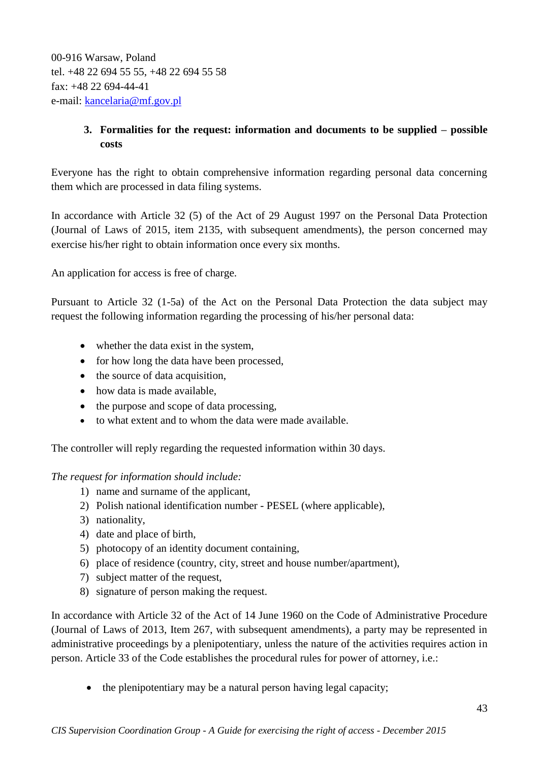00-916 Warsaw, Poland tel. +48 22 694 55 55, +48 22 694 55 58 fax: +48 22 694-44-41 e-mail: [kancelaria@mf.gov.pl](mailto:kancelaria@mf.gov.pl) 

# **3. Formalities for the request: information and documents to be supplied – possible costs**

Everyone has the right to obtain comprehensive information regarding personal data concerning them which are processed in data filing systems.

In accordance with Article 32 (5) of the Act of 29 August 1997 on the Personal Data Protection (Journal of Laws of 2015, item 2135, with subsequent amendments), the person concerned may exercise his/her right to obtain information once every six months.

An application for access is free of charge.

Pursuant to Article 32 (1-5a) of the Act on the Personal Data Protection the data subject may request the following information regarding the processing of his/her personal data:

- whether the data exist in the system,
- for how long the data have been processed,
- the source of data acquisition,
- how data is made available,
- the purpose and scope of data processing,
- to what extent and to whom the data were made available.

The controller will reply regarding the requested information within 30 days.

*The request for information should include:* 

- 1) name and surname of the applicant,
- 2) Polish national identification number PESEL (where applicable),
- 3) nationality,
- 4) date and place of birth,
- 5) photocopy of an identity document containing,
- 6) place of residence (country, city, street and house number/apartment),
- 7) subject matter of the request,
- 8) signature of person making the request.

In accordance with Article 32 of the Act of 14 June 1960 on the Code of Administrative Procedure (Journal of Laws of 2013, Item 267, with subsequent amendments), a party may be represented in administrative proceedings by a plenipotentiary, unless the nature of the activities requires action in person. Article 33 of the Code establishes the procedural rules for power of attorney, i.e.:

• the plenipotentiary may be a natural person having legal capacity;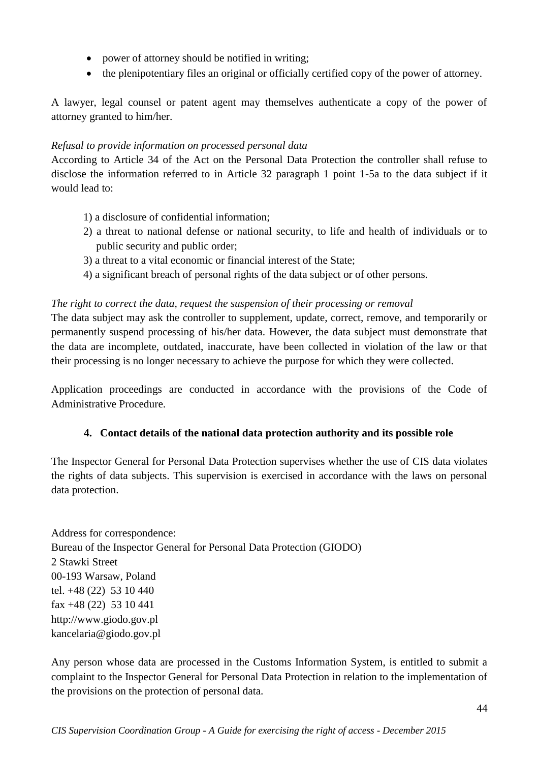- power of attorney should be notified in writing;
- the plenipotentiary files an original or officially certified copy of the power of attorney.

A lawyer, legal counsel or patent agent may themselves authenticate a copy of the power of attorney granted to him/her.

### *Refusal to provide information on processed personal data*

According to Article 34 of the Act on the Personal Data Protection the controller shall refuse to disclose the information referred to in Article 32 paragraph 1 point 1-5a to the data subject if it would lead to:

- 1) a disclosure of confidential information;
- 2) a threat to national defense or national security, to life and health of individuals or to public security and public order;
- 3) a threat to a vital economic or financial interest of the State;
- 4) a significant breach of personal rights of the data subject or of other persons.

### *The right to correct the data, request the suspension of their processing or removal*

The data subject may ask the controller to supplement, update, correct, remove, and temporarily or permanently suspend processing of his/her data. However, the data subject must demonstrate that the data are incomplete, outdated, inaccurate, have been collected in violation of the law or that their processing is no longer necessary to achieve the purpose for which they were collected.

Application proceedings are conducted in accordance with the provisions of the Code of Administrative Procedure.

# **4. Contact details of the national data protection authority and its possible role**

The Inspector General for Personal Data Protection supervises whether the use of CIS data violates the rights of data subjects. This supervision is exercised in accordance with the laws on personal data protection.

Address for correspondence: Bureau of the Inspector General for Personal Data Protection (GIODO) 2 Stawki Street 00-193 Warsaw, Poland tel. +48 (22) 53 10 440 fax +48 (22) 53 10 441 http://www.giodo.gov.pl kancelaria@giodo.gov.pl

Any person whose data are processed in the Customs Information System, is entitled to submit a complaint to the Inspector General for Personal Data Protection in relation to the implementation of the provisions on the protection of personal data.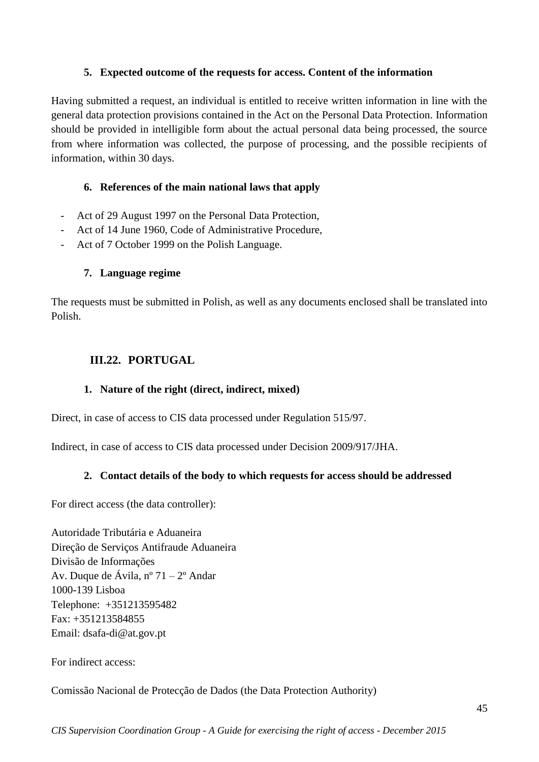#### **5. Expected outcome of the requests for access. Content of the information**

Having submitted a request, an individual is entitled to receive written information in line with the general data protection provisions contained in the Act on the Personal Data Protection. Information should be provided in intelligible form about the actual personal data being processed, the source from where information was collected, the purpose of processing, and the possible recipients of information, within 30 days.

#### **6. References of the main national laws that apply**

- Act of 29 August 1997 on the Personal Data Protection,
- Act of 14 June 1960, Code of Administrative Procedure,
- Act of 7 October 1999 on the Polish Language.

#### **7. Language regime**

The requests must be submitted in Polish, as well as any documents enclosed shall be translated into Polish.

# <span id="page-44-0"></span>**III.22. PORTUGAL**

# **1. Nature of the right (direct, indirect, mixed)**

Direct, in case of access to CIS data processed under Regulation 515/97.

Indirect, in case of access to CIS data processed under Decision 2009/917/JHA.

# **2. Contact details of the body to which requests for access should be addressed**

For direct access (the data controller):

Autoridade Tributária e Aduaneira Direção de Serviços Antifraude Aduaneira Divisão de Informações Av. Duque de Ávila, nº 71 – 2º Andar 1000-139 Lisboa Telephone: +351213595482 Fax: +351213584855 Email: dsafa-di@at.gov.pt

For indirect access:

Comissão Nacional de Protecção de Dados (the Data Protection Authority)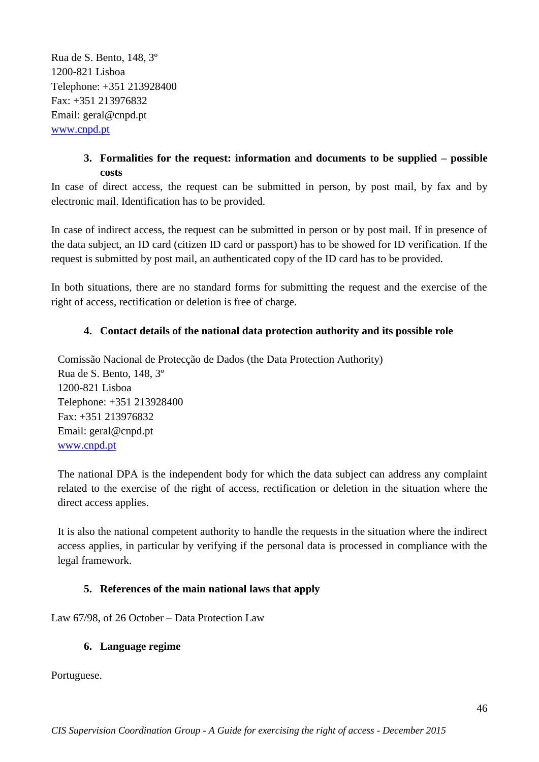Rua de S. Bento, 148, 3º 1200-821 Lisboa Telephone: +351 213928400 Fax: +351 213976832 Email: geral@cnpd.pt [www.cnpd.pt](http://www.cnpd.pt/)

# **3. Formalities for the request: information and documents to be supplied – possible costs**

In case of direct access, the request can be submitted in person, by post mail, by fax and by electronic mail. Identification has to be provided.

In case of indirect access, the request can be submitted in person or by post mail. If in presence of the data subject, an ID card (citizen ID card or passport) has to be showed for ID verification. If the request is submitted by post mail, an authenticated copy of the ID card has to be provided.

In both situations, there are no standard forms for submitting the request and the exercise of the right of access, rectification or deletion is free of charge.

# **4. Contact details of the national data protection authority and its possible role**

Comissão Nacional de Protecção de Dados (the Data Protection Authority) Rua de S. Bento, 148, 3º 1200-821 Lisboa Telephone: +351 213928400 Fax: +351 213976832 Email: geral@cnpd.pt [www.cnpd.pt](http://www.cnpd.pt/)

The national DPA is the independent body for which the data subject can address any complaint related to the exercise of the right of access, rectification or deletion in the situation where the direct access applies.

It is also the national competent authority to handle the requests in the situation where the indirect access applies, in particular by verifying if the personal data is processed in compliance with the legal framework.

# **5. References of the main national laws that apply**

Law 67/98, of 26 October – Data Protection Law

#### **6. Language regime**

Portuguese.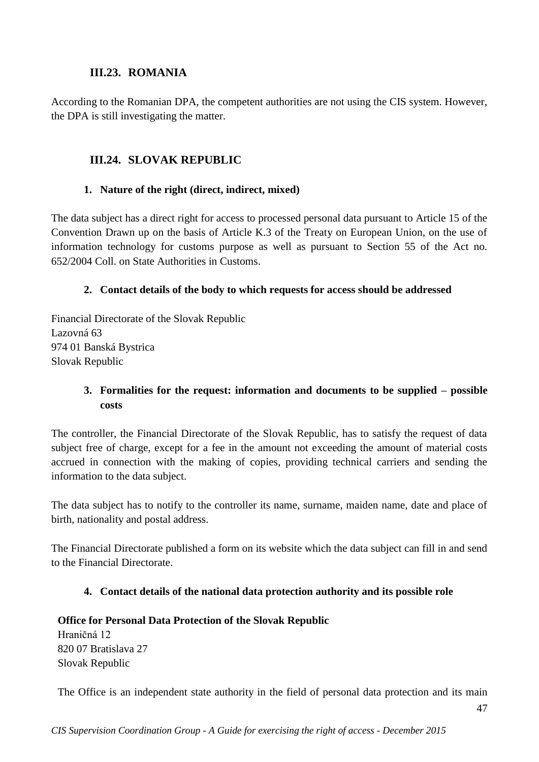# **III.23. ROMANIA**

<span id="page-46-0"></span>According to the Romanian DPA, the competent authorities are not using the CIS system. However, the DPA is still investigating the matter.

# <span id="page-46-1"></span>**III.24. SLOVAK REPUBLIC**

#### **1. Nature of the right (direct, indirect, mixed)**

The data subject has a direct right for access to processed personal data pursuant to Article 15 of the Convention Drawn up on the basis of Article K.3 of the Treaty on European Union, on the use of information technology for customs purpose as well as pursuant to Section 55 of the Act no. 652/2004 Coll. on State Authorities in Customs.

### **2. Contact details of the body to which requests for access should be addressed**

Financial Directorate of the Slovak Republic Lazovná 63 974 01 Banská Bystrica Slovak Republic

# **3. Formalities for the request: information and documents to be supplied – possible costs**

The controller, the Financial Directorate of the Slovak Republic, has to satisfy the request of data subject free of charge, except for a fee in the amount not exceeding the amount of material costs accrued in connection with the making of copies, providing technical carriers and sending the information to the data subject.

The data subject has to notify to the controller its name, surname, maiden name, date and place of birth, nationality and postal address.

The Financial Directorate published a form on its website which the data subject can fill in and send to the Financial Directorate.

# **4. Contact details of the national data protection authority and its possible role**

# **Office for Personal Data Protection of the Slovak Republic** Hraničná 12 820 07 Bratislava 27 Slovak Republic

The Office is an independent state authority in the field of personal data protection and its main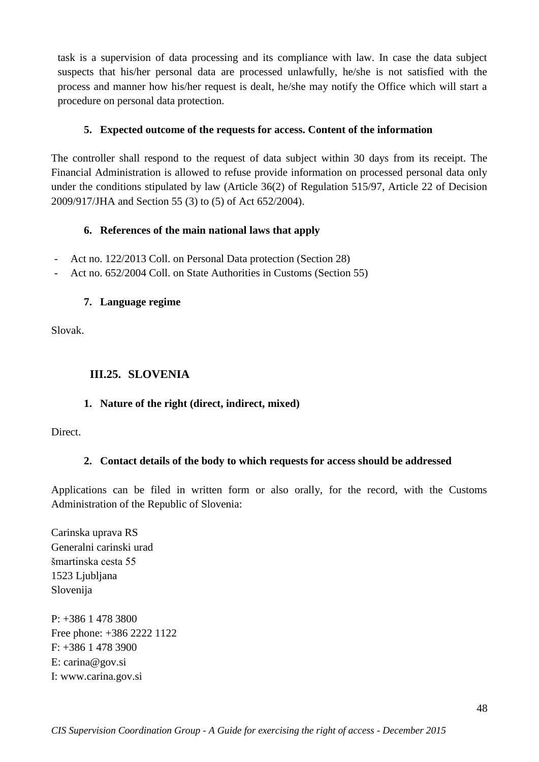task is a supervision of data processing and its compliance with law. In case the data subject suspects that his/her personal data are processed unlawfully, he/she is not satisfied with the process and manner how his/her request is dealt, he/she may notify the Office which will start a procedure on personal data protection.

### **5. Expected outcome of the requests for access. Content of the information**

The controller shall respond to the request of data subject within 30 days from its receipt. The Financial Administration is allowed to refuse provide information on processed personal data only under the conditions stipulated by law (Article 36(2) of Regulation 515/97, Article 22 of Decision 2009/917/JHA and Section 55 (3) to (5) of Act 652/2004).

#### **6. References of the main national laws that apply**

- Act no. 122/2013 Coll. on Personal Data protection (Section 28)
- Act no. 652/2004 Coll. on State Authorities in Customs (Section 55)

#### **7. Language regime**

Slovak.

### <span id="page-47-0"></span>**III.25. SLOVENIA**

#### **1. Nature of the right (direct, indirect, mixed)**

Direct.

#### **2. Contact details of the body to which requests for access should be addressed**

Applications can be filed in written form or also orally, for the record, with the Customs Administration of the Republic of Slovenia:

Carinska uprava RS Generalni carinski urad šmartinska cesta 55 1523 Ljubljana Slovenija

P: +386 1 478 3800 Free phone: +386 2222 1122 F: +386 1 478 3900 E: carina@gov.si I: www.carina.gov.si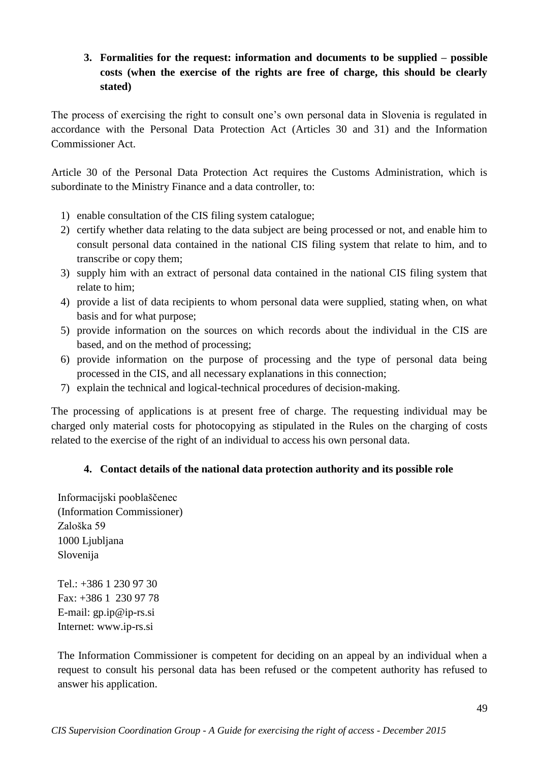# **3. Formalities for the request: information and documents to be supplied – possible costs (when the exercise of the rights are free of charge, this should be clearly stated)**

The process of exercising the right to consult one's own personal data in Slovenia is regulated in accordance with the Personal Data Protection Act (Articles 30 and 31) and the Information Commissioner Act.

Article 30 of the Personal Data Protection Act requires the Customs Administration, which is subordinate to the Ministry Finance and a data controller, to:

- 1) enable consultation of the CIS filing system catalogue;
- 2) certify whether data relating to the data subject are being processed or not, and enable him to consult personal data contained in the national CIS filing system that relate to him, and to transcribe or copy them;
- 3) supply him with an extract of personal data contained in the national CIS filing system that relate to him;
- 4) provide a list of data recipients to whom personal data were supplied, stating when, on what basis and for what purpose;
- 5) provide information on the sources on which records about the individual in the CIS are based, and on the method of processing;
- 6) provide information on the purpose of processing and the type of personal data being processed in the CIS, and all necessary explanations in this connection;
- 7) explain the technical and logical-technical procedures of decision-making.

The processing of applications is at present free of charge. The requesting individual may be charged only material costs for photocopying as stipulated in the Rules on the charging of costs related to the exercise of the right of an individual to access his own personal data.

# **4. Contact details of the national data protection authority and its possible role**

Informacijski pooblaščenec (Information Commissioner) Zaloška 59 1000 Ljubljana Slovenija

Tel.: +386 1 230 97 30 Fax: +386 1 230 97 78 E-mail: gp.ip@ip-rs.si Internet: www.ip-rs.si

The Information Commissioner is competent for deciding on an appeal by an individual when a request to consult his personal data has been refused or the competent authority has refused to answer his application.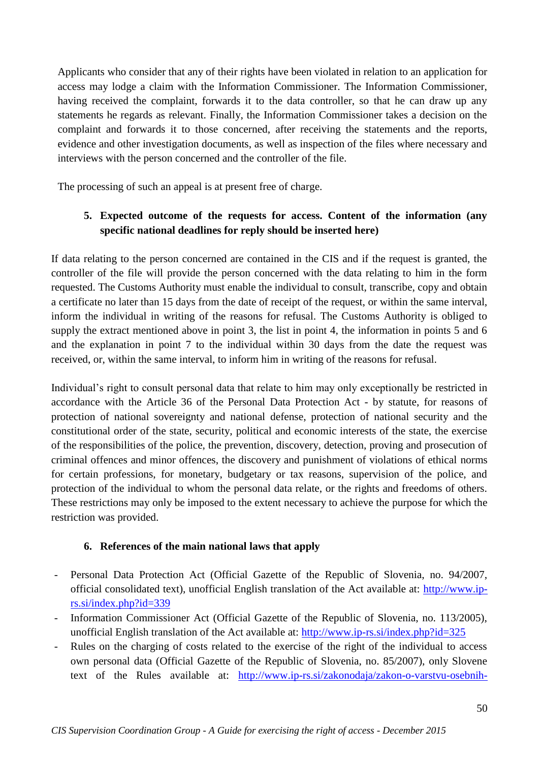Applicants who consider that any of their rights have been violated in relation to an application for access may lodge a claim with the Information Commissioner. The Information Commissioner, having received the complaint, forwards it to the data controller, so that he can draw up any statements he regards as relevant. Finally, the Information Commissioner takes a decision on the complaint and forwards it to those concerned, after receiving the statements and the reports, evidence and other investigation documents, as well as inspection of the files where necessary and interviews with the person concerned and the controller of the file.

The processing of such an appeal is at present free of charge.

# **5. Expected outcome of the requests for access. Content of the information (any specific national deadlines for reply should be inserted here)**

If data relating to the person concerned are contained in the CIS and if the request is granted, the controller of the file will provide the person concerned with the data relating to him in the form requested. The Customs Authority must enable the individual to consult, transcribe, copy and obtain a certificate no later than 15 days from the date of receipt of the request, or within the same interval, inform the individual in writing of the reasons for refusal. The Customs Authority is obliged to supply the extract mentioned above in point 3, the list in point 4, the information in points 5 and 6 and the explanation in point 7 to the individual within 30 days from the date the request was received, or, within the same interval, to inform him in writing of the reasons for refusal.

Individual's right to consult personal data that relate to him may only exceptionally be restricted in accordance with the Article 36 of the Personal Data Protection Act - by statute, for reasons of protection of national sovereignty and national defense, protection of national security and the constitutional order of the state, security, political and economic interests of the state, the exercise of the responsibilities of the police, the prevention, discovery, detection, proving and prosecution of criminal offences and minor offences, the discovery and punishment of violations of ethical norms for certain professions, for monetary, budgetary or tax reasons, supervision of the police, and protection of the individual to whom the personal data relate, or the rights and freedoms of others. These restrictions may only be imposed to the extent necessary to achieve the purpose for which the restriction was provided.

# **6. References of the main national laws that apply**

- Personal Data Protection Act (Official Gazette of the Republic of Slovenia, no. 94/2007, official consolidated text), unofficial English translation of the Act available at: [http://www.ip](http://www.ip-rs.si/index.php?id=339)[rs.si/index.php?id=339](http://www.ip-rs.si/index.php?id=339)
- Information Commissioner Act (Official Gazette of the Republic of Slovenia, no. 113/2005), unofficial English translation of the Act available at:<http://www.ip-rs.si/index.php?id=325>
- Rules on the charging of costs related to the exercise of the right of the individual to access own personal data (Official Gazette of the Republic of Slovenia, no. 85/2007), only Slovene text of the Rules available at: [http://www.ip-rs.si/zakonodaja/zakon-o-varstvu-osebnih-](http://www.ip-rs.si/zakonodaja/zakon-o-varstvu-osebnih-podatkov/pravilnik-o-zaracunavanju-stroskov-pri-izvrsevanju-pravice-posameznika-do-seznanitve-z-lastnimi-osebnimi-podatki/)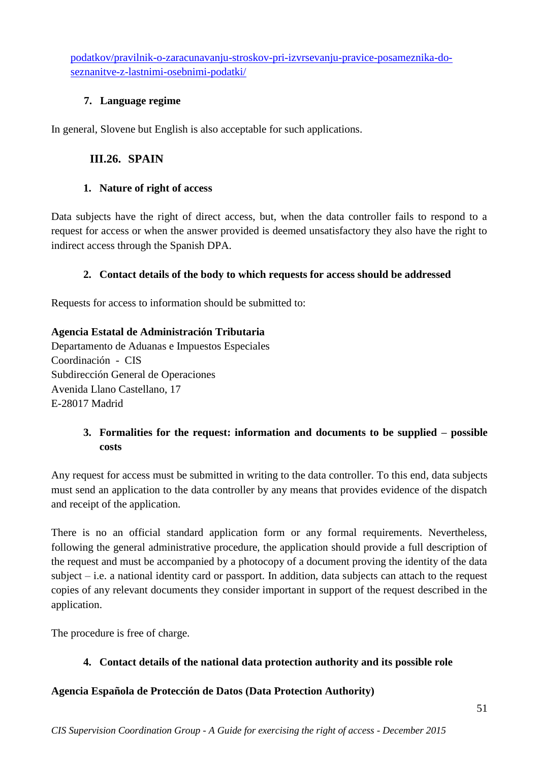[podatkov/pravilnik-o-zaracunavanju-stroskov-pri-izvrsevanju-pravice-posameznika-do](http://www.ip-rs.si/zakonodaja/zakon-o-varstvu-osebnih-podatkov/pravilnik-o-zaracunavanju-stroskov-pri-izvrsevanju-pravice-posameznika-do-seznanitve-z-lastnimi-osebnimi-podatki/)[seznanitve-z-lastnimi-osebnimi-podatki/](http://www.ip-rs.si/zakonodaja/zakon-o-varstvu-osebnih-podatkov/pravilnik-o-zaracunavanju-stroskov-pri-izvrsevanju-pravice-posameznika-do-seznanitve-z-lastnimi-osebnimi-podatki/)

# **7. Language regime**

<span id="page-50-0"></span>In general, Slovene but English is also acceptable for such applications.

# **III.26. SPAIN**

# **1. Nature of right of access**

Data subjects have the right of direct access, but, when the data controller fails to respond to a request for access or when the answer provided is deemed unsatisfactory they also have the right to indirect access through the Spanish DPA.

# **2. Contact details of the body to which requests for access should be addressed**

Requests for access to information should be submitted to:

# **Agencia Estatal de Administración Tributaria**

Departamento de Aduanas e Impuestos Especiales Coordinación - CIS Subdirección General de Operaciones Avenida Llano Castellano, 17 E-28017 Madrid

# **3. Formalities for the request: information and documents to be supplied – possible costs**

Any request for access must be submitted in writing to the data controller. To this end, data subjects must send an application to the data controller by any means that provides evidence of the dispatch and receipt of the application.

There is no an official standard application form or any formal requirements. Nevertheless, following the general administrative procedure, the application should provide a full description of the request and must be accompanied by a photocopy of a document proving the identity of the data subject – i.e. a national identity card or passport. In addition, data subjects can attach to the request copies of any relevant documents they consider important in support of the request described in the application.

The procedure is free of charge.

# **4. Contact details of the national data protection authority and its possible role**

# **Agencia Española de Protección de Datos (Data Protection Authority)**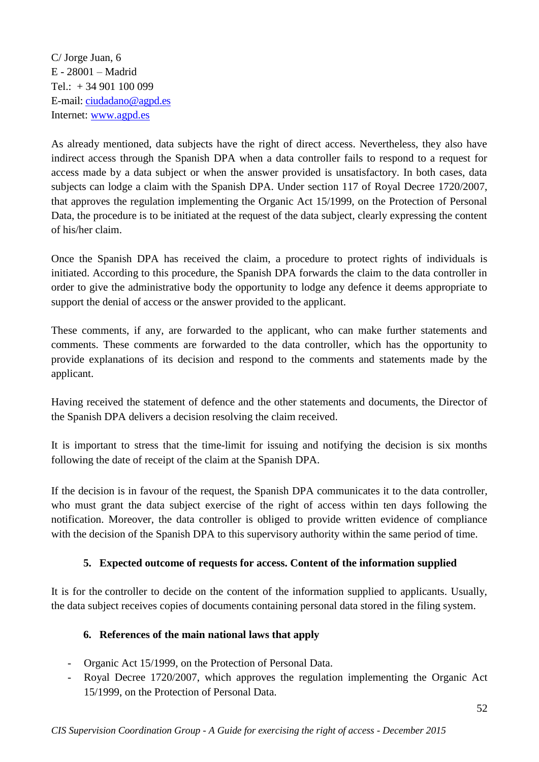C/ Jorge Juan, 6 E - 28001 – Madrid Tel.:  $+34901100099$ E-mail: [ciudadano@agpd.es](mailto:ciudadano@agpd.es) Internet: [www.agpd.es](http://www.agpd.es/)

As already mentioned, data subjects have the right of direct access. Nevertheless, they also have indirect access through the Spanish DPA when a data controller fails to respond to a request for access made by a data subject or when the answer provided is unsatisfactory. In both cases, data subjects can lodge a claim with the Spanish DPA. Under section 117 of Royal Decree 1720/2007, that approves the regulation implementing the Organic Act 15/1999, on the Protection of Personal Data, the procedure is to be initiated at the request of the data subject, clearly expressing the content of his/her claim.

Once the Spanish DPA has received the claim, a procedure to protect rights of individuals is initiated. According to this procedure, the Spanish DPA forwards the claim to the data controller in order to give the administrative body the opportunity to lodge any defence it deems appropriate to support the denial of access or the answer provided to the applicant.

These comments, if any, are forwarded to the applicant, who can make further statements and comments. These comments are forwarded to the data controller, which has the opportunity to provide explanations of its decision and respond to the comments and statements made by the applicant.

Having received the statement of defence and the other statements and documents, the Director of the Spanish DPA delivers a decision resolving the claim received.

It is important to stress that the time-limit for issuing and notifying the decision is six months following the date of receipt of the claim at the Spanish DPA.

If the decision is in favour of the request, the Spanish DPA communicates it to the data controller, who must grant the data subject exercise of the right of access within ten days following the notification. Moreover, the data controller is obliged to provide written evidence of compliance with the decision of the Spanish DPA to this supervisory authority within the same period of time.

# **5. Expected outcome of requests for access. Content of the information supplied**

It is for the controller to decide on the content of the information supplied to applicants. Usually, the data subject receives copies of documents containing personal data stored in the filing system.

#### **6. References of the main national laws that apply**

- Organic Act 15/1999, on the Protection of Personal Data.
- Royal Decree 1720/2007, which approves the regulation implementing the Organic Act 15/1999, on the Protection of Personal Data.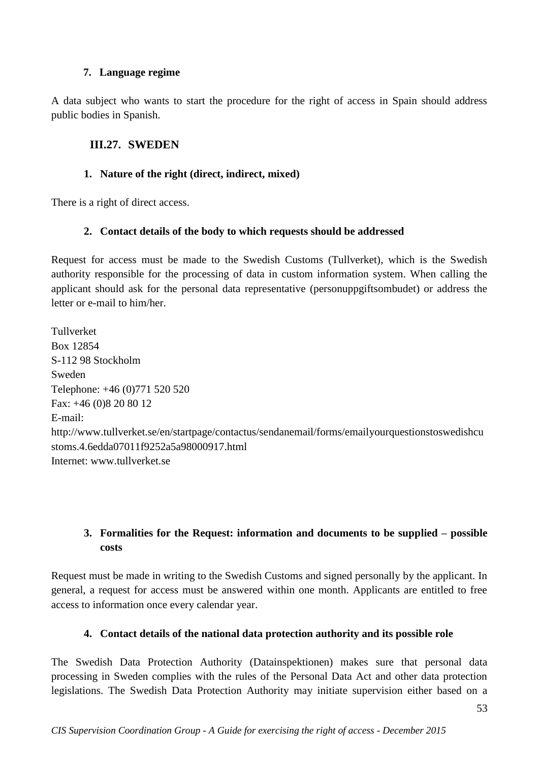#### **7. Language regime**

A data subject who wants to start the procedure for the right of access in Spain should address public bodies in Spanish.

# <span id="page-52-0"></span>**III.27. SWEDEN**

# **1. Nature of the right (direct, indirect, mixed)**

There is a right of direct access.

# **2. Contact details of the body to which requests should be addressed**

Request for access must be made to the Swedish Customs (Tullverket), which is the Swedish authority responsible for the processing of data in custom information system. When calling the applicant should ask for the personal data representative (personuppgiftsombudet) or address the letter or e-mail to him/her.

Tullverket Box 12854 S-112 98 Stockholm Sweden Telephone: +46 (0)771 520 520 Fax: +46 (0)8 20 80 12 E-mail: http://www.tullverket.se/en/startpage/contactus/sendanemail/forms/emailyourquestionstoswedishcu stoms.4.6edda07011f9252a5a98000917.html Internet: www.tullverket.se

# **3. Formalities for the Request: information and documents to be supplied – possible costs**

Request must be made in writing to the Swedish Customs and signed personally by the applicant. In general, a request for access must be answered within one month. Applicants are entitled to free access to information once every calendar year.

# **4. Contact details of the national data protection authority and its possible role**

The Swedish Data Protection Authority (Datainspektionen) makes sure that personal data processing in Sweden complies with the rules of the Personal Data Act and other data protection legislations. The Swedish Data Protection Authority may initiate supervision either based on a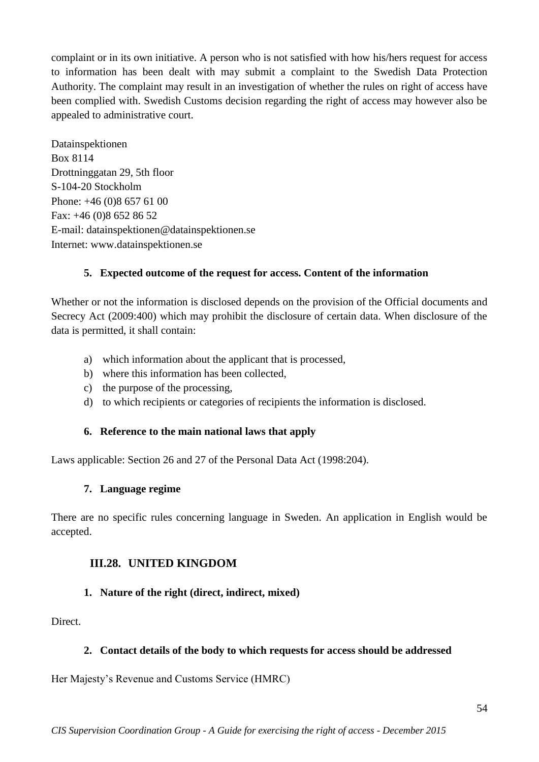complaint or in its own initiative. A person who is not satisfied with how his/hers request for access to information has been dealt with may submit a complaint to the Swedish Data Protection Authority. The complaint may result in an investigation of whether the rules on right of access have been complied with. Swedish Customs decision regarding the right of access may however also be appealed to administrative court.

Datainspektionen Box 8114 Drottninggatan 29, 5th floor S-104-20 Stockholm Phone: +46 (0)8 657 61 00 Fax: +46 (0)8 652 86 52 E-mail: datainspektionen@datainspektionen.se Internet: www.datainspektionen.se

# **5. Expected outcome of the request for access. Content of the information**

Whether or not the information is disclosed depends on the provision of the Official documents and Secrecy Act (2009:400) which may prohibit the disclosure of certain data. When disclosure of the data is permitted, it shall contain:

- a) which information about the applicant that is processed,
- b) where this information has been collected,
- c) the purpose of the processing,
- d) to which recipients or categories of recipients the information is disclosed.

#### **6. Reference to the main national laws that apply**

Laws applicable: Section 26 and 27 of the Personal Data Act (1998:204).

#### **7. Language regime**

There are no specific rules concerning language in Sweden. An application in English would be accepted.

# <span id="page-53-0"></span>**III.28. UNITED KINGDOM**

#### **1. Nature of the right (direct, indirect, mixed)**

Direct.

#### **2. Contact details of the body to which requests for access should be addressed**

Her Majesty's Revenue and Customs Service (HMRC)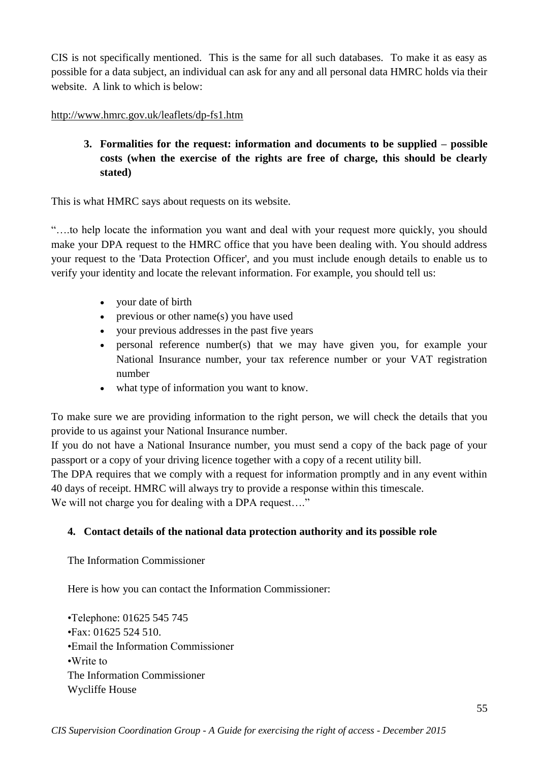CIS is not specifically mentioned. This is the same for all such databases. To make it as easy as possible for a data subject, an individual can ask for any and all personal data HMRC holds via their website. A link to which is below:

### <http://www.hmrc.gov.uk/leaflets/dp-fs1.htm>

**3. Formalities for the request: information and documents to be supplied – possible costs (when the exercise of the rights are free of charge, this should be clearly stated)**

This is what HMRC says about requests on its website.

"….to help locate the information you want and deal with your request more quickly, you should make your DPA request to the HMRC office that you have been dealing with. You should address your request to the 'Data Protection Officer', and you must include enough details to enable us to verify your identity and locate the relevant information. For example, you should tell us:

- your date of birth
- previous or other name(s) you have used
- your previous addresses in the past five years
- personal reference number(s) that we may have given you, for example your National Insurance number, your tax reference number or your VAT registration number
- what type of information you want to know.

To make sure we are providing information to the right person, we will check the details that you provide to us against your National Insurance number.

If you do not have a National Insurance number, you must send a copy of the back page of your passport or a copy of your driving licence together with a copy of a recent utility bill.

The DPA requires that we comply with a request for information promptly and in any event within 40 days of receipt. HMRC will always try to provide a response within this timescale.

We will not charge you for dealing with a DPA request...."

# **4. Contact details of the national data protection authority and its possible role**

The Information Commissioner

Here is how you can contact the Information Commissioner:

•Telephone: 01625 545 745 •Fax: 01625 524 510. •Email the Information Commissioner •Write to The Information Commissioner Wycliffe House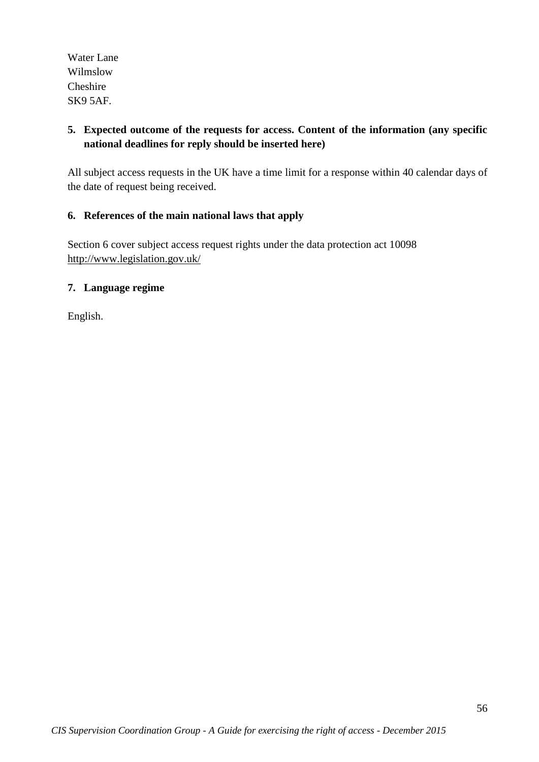Water Lane Wilmslow Cheshire SK9 5AF.

# **5. Expected outcome of the requests for access. Content of the information (any specific national deadlines for reply should be inserted here)**

All subject access requests in the UK have a time limit for a response within 40 calendar days of the date of request being received.

### **6. References of the main national laws that apply**

Section 6 cover subject access request rights under the data protection act 10098 <http://www.legislation.gov.uk/>

#### **7. Language regime**

English.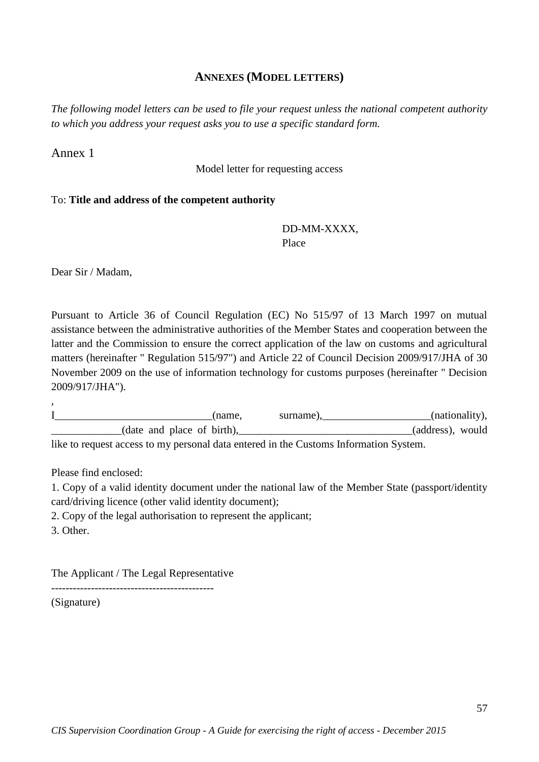#### **ANNEXES (MODEL LETTERS)**

<span id="page-56-0"></span>*The following model letters can be used to file your request unless the national competent authority to which you address your request asks you to use a specific standard form.*

#### Annex 1

Model letter for requesting access

#### To: **Title and address of the competent authority**

#### DD-MM-XXXX, Place

Dear Sir / Madam,

Pursuant to Article 36 of Council Regulation (EC) No 515/97 of 13 March 1997 on mutual assistance between the administrative authorities of the Member States and cooperation between the latter and the Commission to ensure the correct application of the law on customs and agricultural matters (hereinafter " Regulation 515/97") and Article 22 of Council Decision 2009/917/JHA of 30 November 2009 on the use of information technology for customs purposes (hereinafter " Decision 2009/917/JHA").

I\_\_\_\_\_\_\_\_\_\_\_\_\_\_\_\_\_\_\_\_\_\_\_\_\_\_\_\_\_(name, surname),\_\_\_\_\_\_\_\_\_\_\_\_\_\_\_\_\_\_\_\_(nationality), \_\_\_\_\_\_\_\_\_\_\_\_\_(date and place of birth),\_\_\_\_\_\_\_\_\_\_\_\_\_\_\_\_\_\_\_\_\_\_\_\_\_\_\_\_\_\_\_\_(address), would like to request access to my personal data entered in the Customs Information System.

Please find enclosed:

1. Copy of a valid identity document under the national law of the Member State (passport/identity card/driving licence (other valid identity document);

2. Copy of the legal authorisation to represent the applicant;

3. Other.

,

The Applicant / The Legal Representative

(Signature)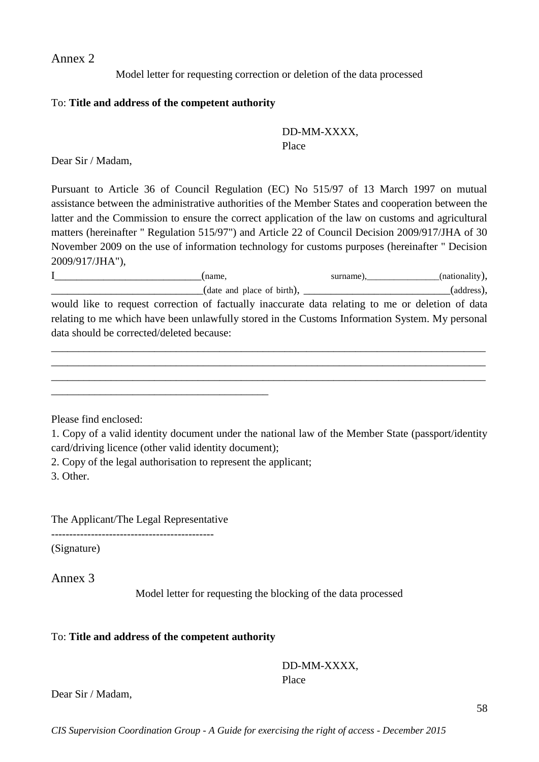Annex 2

Model letter for requesting correction or deletion of the data processed

#### To: **Title and address of the competent authority**

#### DD-MM-XXXX, Place

Dear Sir / Madam,

Pursuant to Article 36 of Council Regulation (EC) No 515/97 of 13 March 1997 on mutual assistance between the administrative authorities of the Member States and cooperation between the latter and the Commission to ensure the correct application of the law on customs and agricultural matters (hereinafter " Regulation 515/97") and Article 22 of Council Decision 2009/917/JHA of 30 November 2009 on the use of information technology for customs purposes (hereinafter " Decision 2009/917/JHA"),

I  $\qquad \qquad \text{(name)},$ (name, surname), (nationality),  $(\text{date and place of birth}),$   $(\text{address})$ , would like to request correction of factually inaccurate data relating to me or deletion of data relating to me which have been unlawfully stored in the Customs Information System. My personal data should be corrected/deleted because:

\_\_\_\_\_\_\_\_\_\_\_\_\_\_\_\_\_\_\_\_\_\_\_\_\_\_\_\_\_\_\_\_\_\_\_\_\_\_\_\_\_\_\_\_\_\_\_\_\_\_\_\_\_\_\_\_\_\_\_\_\_\_\_\_\_\_\_\_\_\_\_\_\_\_\_\_\_\_\_\_ \_\_\_\_\_\_\_\_\_\_\_\_\_\_\_\_\_\_\_\_\_\_\_\_\_\_\_\_\_\_\_\_\_\_\_\_\_\_\_\_\_\_\_\_\_\_\_\_\_\_\_\_\_\_\_\_\_\_\_\_\_\_\_\_\_\_\_\_\_\_\_\_\_\_\_\_\_\_\_\_ \_\_\_\_\_\_\_\_\_\_\_\_\_\_\_\_\_\_\_\_\_\_\_\_\_\_\_\_\_\_\_\_\_\_\_\_\_\_\_\_\_\_\_\_\_\_\_\_\_\_\_\_\_\_\_\_\_\_\_\_\_\_\_\_\_\_\_\_\_\_\_\_\_\_\_\_\_\_\_\_

Please find enclosed:

1. Copy of a valid identity document under the national law of the Member State (passport/identity card/driving licence (other valid identity document);

2. Copy of the legal authorisation to represent the applicant;

\_\_\_\_\_\_\_\_\_\_\_\_\_\_\_\_\_\_\_\_\_\_\_\_\_\_\_\_\_\_\_\_\_\_\_\_\_\_\_\_

3. Other.

The Applicant/The Legal Representative

---------------------------------------------

(Signature)

Annex 3

Model letter for requesting the blocking of the data processed

#### To: **Title and address of the competent authority**

DD-MM-XXXX, Place

Dear Sir / Madam,